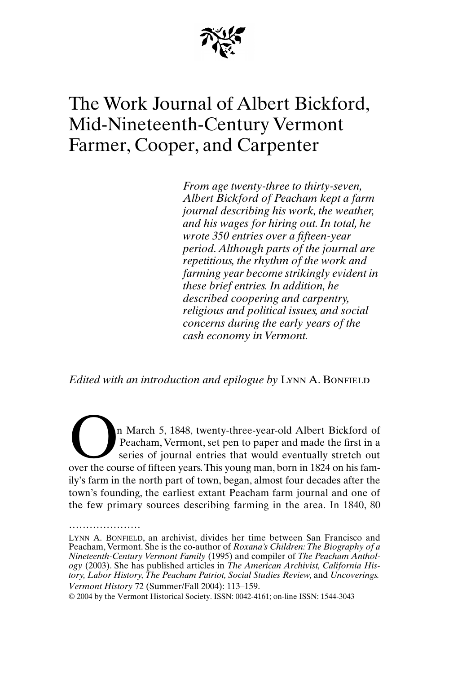

# The Work Journal of Albert Bickford, Mid-Nineteenth-Century Vermont Farmer, Cooper, and Carpenter

*From age twenty-three to thirty-seven, Albert Bickford of Peacham kept a farm journal describing his work, the weather, and his wages for hiring out. In total, he wrote 350 entries over a fifteen-year period. Although parts of the journal are repetitious, the rhythm of the work and farming year become strikingly evident in these brief entries. In addition, he described coopering and carpentry, religious and political issues, and social concerns during the early years of the cash economy in Vermont.*

*Edited with an introduction and epilogue by LYNN A. BONFIELD* 

n March 5, 1848, twenty-three-year-old Albert Bickford of Peacham, Vermont, set pen to paper and made the first in a series of journal entries that would eventually stretch out over the course of fifteen years. This young man, born in 1824 on his fam-<br>
over the course of fifteen years. This young man, born in 1824 on his family's farm in the north part of town, began, almost four decades after the town's founding, the earliest extant Peacham farm journal and one of the few primary sources describing farming in the area. In 1840, 80

.....................

*Vermont History* 72 (Summer/Fall 2004): 113–159. LYNN A. BONFIELD, an archivist, divides her time between San Francisco and Peacham, Vermont. She is the co-author of *Roxana's Children: The Biography of a Nineteenth-Century Vermont Family* (1995) and compiler of *The Peacham Anthology* (2003). She has published articles in *The American Archivist, California History, Labor History, The Peacham Patriot, Social Studies Review,* and *Uncoverings.*

<sup>© 2004</sup> by the Vermont Historical Society. ISSN: 0042-4161; on-line ISSN: 1544-3043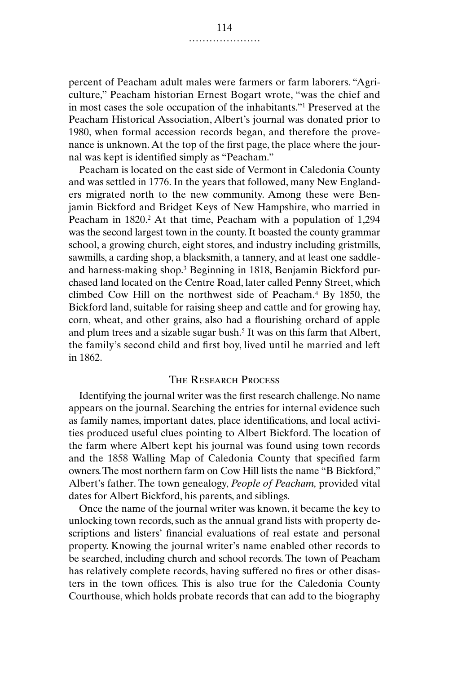percent of Peacham adult males were farmers or farm laborers. "Agriculture," Peacham historian Ernest Bogart wrote, "was the chief and in most cases the sole occupation of the inhabitants."1 Preserved at the Peacham Historical Association, Albert's journal was donated prior to 1980, when formal accession records began, and therefore the provenance is unknown. At the top of the first page, the place where the journal was kept is identified simply as "Peacham."

Peacham is located on the east side of Vermont in Caledonia County and was settled in 1776. In the years that followed, many New Englanders migrated north to the new community. Among these were Benjamin Bickford and Bridget Keys of New Hampshire, who married in Peacham in 1820.<sup>2</sup> At that time, Peacham with a population of 1,294 was the second largest town in the county. It boasted the county grammar school, a growing church, eight stores, and industry including gristmills, sawmills, a carding shop, a blacksmith, a tannery, and at least one saddleand harness-making shop.3 Beginning in 1818, Benjamin Bickford purchased land located on the Centre Road, later called Penny Street, which climbed Cow Hill on the northwest side of Peacham.4 By 1850, the Bickford land, suitable for raising sheep and cattle and for growing hay, corn, wheat, and other grains, also had a flourishing orchard of apple and plum trees and a sizable sugar bush.5 It was on this farm that Albert, the family's second child and first boy, lived until he married and left in 1862.

## The Research Process

Identifying the journal writer was the first research challenge. No name appears on the journal. Searching the entries for internal evidence such as family names, important dates, place identifications, and local activities produced useful clues pointing to Albert Bickford. The location of the farm where Albert kept his journal was found using town records and the 1858 Walling Map of Caledonia County that specified farm owners. The most northern farm on Cow Hill lists the name "B Bickford," Albert's father. The town genealogy, *People of Peacham,* provided vital dates for Albert Bickford, his parents, and siblings.

Once the name of the journal writer was known, it became the key to unlocking town records, such as the annual grand lists with property descriptions and listers' financial evaluations of real estate and personal property. Knowing the journal writer's name enabled other records to be searched, including church and school records. The town of Peacham has relatively complete records, having suffered no fires or other disasters in the town offices. This is also true for the Caledonia County Courthouse, which holds probate records that can add to the biography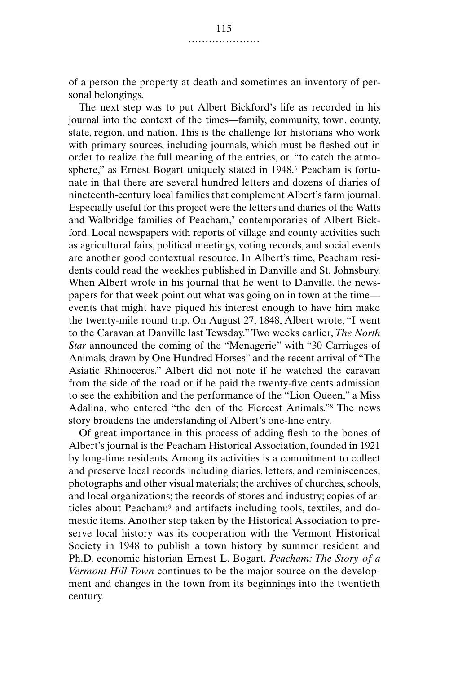of a person the property at death and sometimes an inventory of personal belongings.

The next step was to put Albert Bickford's life as recorded in his journal into the context of the times—family, community, town, county, state, region, and nation. This is the challenge for historians who work with primary sources, including journals, which must be fleshed out in order to realize the full meaning of the entries, or, "to catch the atmosphere," as Ernest Bogart uniquely stated in 1948.<sup>6</sup> Peacham is fortunate in that there are several hundred letters and dozens of diaries of nineteenth-century local families that complement Albert's farm journal. Especially useful for this project were the letters and diaries of the Watts and Walbridge families of Peacham,<sup>7</sup> contemporaries of Albert Bickford. Local newspapers with reports of village and county activities such as agricultural fairs, political meetings, voting records, and social events are another good contextual resource. In Albert's time, Peacham residents could read the weeklies published in Danville and St. Johnsbury. When Albert wrote in his journal that he went to Danville, the newspapers for that week point out what was going on in town at the time events that might have piqued his interest enough to have him make the twenty-mile round trip. On August 27, 1848, Albert wrote, "I went to the Caravan at Danville last Tewsday." Two weeks earlier, *The North Star* announced the coming of the "Menagerie" with "30 Carriages of Animals, drawn by One Hundred Horses" and the recent arrival of "The Asiatic Rhinoceros." Albert did not note if he watched the caravan from the side of the road or if he paid the twenty-five cents admission to see the exhibition and the performance of the "Lion Queen," a Miss Adalina, who entered "the den of the Fiercest Animals."8 The news story broadens the understanding of Albert's one-line entry.

Of great importance in this process of adding flesh to the bones of Albert's journal is the Peacham Historical Association, founded in 1921 by long-time residents. Among its activities is a commitment to collect and preserve local records including diaries, letters, and reminiscences; photographs and other visual materials; the archives of churches, schools, and local organizations; the records of stores and industry; copies of articles about Peacham;<sup>9</sup> and artifacts including tools, textiles, and domestic items. Another step taken by the Historical Association to preserve local history was its cooperation with the Vermont Historical Society in 1948 to publish a town history by summer resident and Ph.D. economic historian Ernest L. Bogart. *Peacham: The Story of a Vermont Hill Town* continues to be the major source on the development and changes in the town from its beginnings into the twentieth century.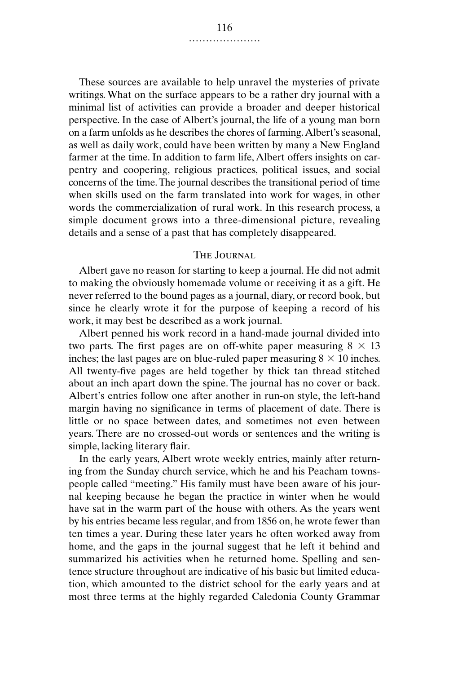These sources are available to help unravel the mysteries of private writings. What on the surface appears to be a rather dry journal with a minimal list of activities can provide a broader and deeper historical perspective. In the case of Albert's journal, the life of a young man born on a farm unfolds as he describes the chores of farming. Albert's seasonal, as well as daily work, could have been written by many a New England farmer at the time. In addition to farm life, Albert offers insights on carpentry and coopering, religious practices, political issues, and social concerns of the time. The journal describes the transitional period of time when skills used on the farm translated into work for wages, in other words the commercialization of rural work. In this research process, a simple document grows into a three-dimensional picture, revealing details and a sense of a past that has completely disappeared.

## THE **JOURNAL**

Albert gave no reason for starting to keep a journal. He did not admit to making the obviously homemade volume or receiving it as a gift. He never referred to the bound pages as a journal, diary, or record book, but since he clearly wrote it for the purpose of keeping a record of his work, it may best be described as a work journal.

Albert penned his work record in a hand-made journal divided into two parts. The first pages are on off-white paper measuring  $8 \times 13$ inches; the last pages are on blue-ruled paper measuring  $8 \times 10$  inches. All twenty-five pages are held together by thick tan thread stitched about an inch apart down the spine. The journal has no cover or back. Albert's entries follow one after another in run-on style, the left-hand margin having no significance in terms of placement of date. There is little or no space between dates, and sometimes not even between years. There are no crossed-out words or sentences and the writing is simple, lacking literary flair.

In the early years, Albert wrote weekly entries, mainly after returning from the Sunday church service, which he and his Peacham townspeople called "meeting." His family must have been aware of his journal keeping because he began the practice in winter when he would have sat in the warm part of the house with others. As the years went by his entries became less regular, and from 1856 on, he wrote fewer than ten times a year. During these later years he often worked away from home, and the gaps in the journal suggest that he left it behind and summarized his activities when he returned home. Spelling and sentence structure throughout are indicative of his basic but limited education, which amounted to the district school for the early years and at most three terms at the highly regarded Caledonia County Grammar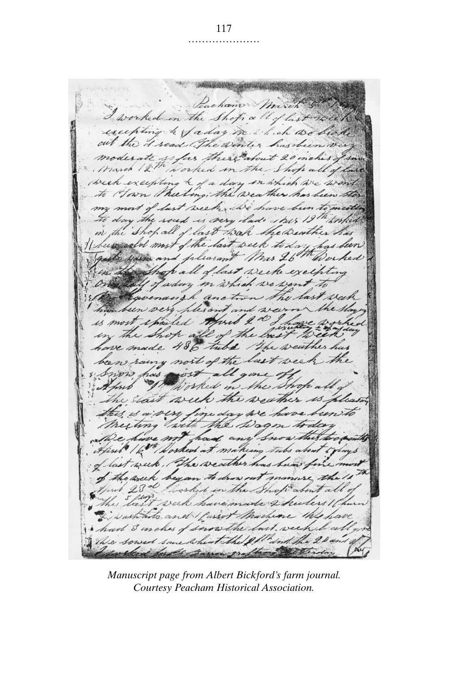Lachamo Mixen I worked in the Shops a ll of last week excepting a faday in which we head out the d'read The winter has been very moderate so far there about 20 inches , week excepting & of a day in which we won't Hown theeling, the weather has been my most of last week, we have been to meet to day the soud is very lads this 19th wither in the Shop all of last wan the Deather has I been cald most of the last week to day has been Exame and pleasant Mrs 26th Worked Shop all of last weeke excepting well of aday in which we want to givenangh anction the last week his been very ples and wein se was is most spoiled thund 2 0 g h the shop all of the bust week ave made 486 tube. The weather has been rainy nort of the last week the Snow has with all gone off worked in the Shop all the start week the weather is is is a very fine day we have been to Meeting with the Lagon today in the have not had any snow this two, April 16th Worked at making tubs about toplays of last week, The weather has been for ria of the week began to drow out manuse the April 28 d worked in the Shop about all week have made 2 hecters 10 wash hote and I fasset Machine the h had I makes of snow the last week to The sowed some wheat the 21 and the 20 aller for the meron graftame derering

*Manuscript page from Albert Bickford's farm journal. Courtesy Peacham Historical Association.*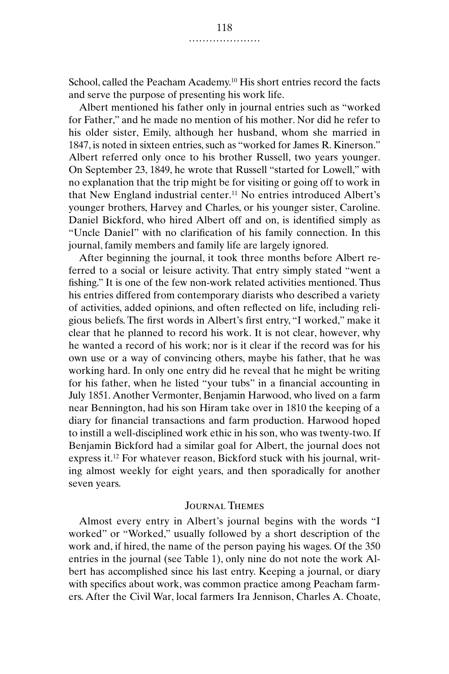School, called the Peacham Academy.<sup>10</sup> His short entries record the facts and serve the purpose of presenting his work life.

Albert mentioned his father only in journal entries such as "worked for Father," and he made no mention of his mother. Nor did he refer to his older sister, Emily, although her husband, whom she married in 1847, is noted in sixteen entries, such as "worked for James R. Kinerson." Albert referred only once to his brother Russell, two years younger. On September 23, 1849, he wrote that Russell "started for Lowell," with no explanation that the trip might be for visiting or going off to work in that New England industrial center.11 No entries introduced Albert's younger brothers, Harvey and Charles, or his younger sister, Caroline. Daniel Bickford, who hired Albert off and on, is identified simply as "Uncle Daniel" with no clarification of his family connection. In this journal, family members and family life are largely ignored.

After beginning the journal, it took three months before Albert referred to a social or leisure activity. That entry simply stated "went a fishing." It is one of the few non-work related activities mentioned. Thus his entries differed from contemporary diarists who described a variety of activities, added opinions, and often reflected on life, including religious beliefs. The first words in Albert's first entry, "I worked," make it clear that he planned to record his work. It is not clear, however, why he wanted a record of his work; nor is it clear if the record was for his own use or a way of convincing others, maybe his father, that he was working hard. In only one entry did he reveal that he might be writing for his father, when he listed "your tubs" in a financial accounting in July 1851. Another Vermonter, Benjamin Harwood, who lived on a farm near Bennington, had his son Hiram take over in 1810 the keeping of a diary for financial transactions and farm production. Harwood hoped to instill a well-disciplined work ethic in his son, who was twenty-two. If Benjamin Bickford had a similar goal for Albert, the journal does not express it.12 For whatever reason, Bickford stuck with his journal, writing almost weekly for eight years, and then sporadically for another seven years.

#### Journal Themes

Almost every entry in Albert's journal begins with the words "I worked" or "Worked," usually followed by a short description of the work and, if hired, the name of the person paying his wages. Of the 350 entries in the journal (see Table 1), only nine do not note the work Albert has accomplished since his last entry. Keeping a journal, or diary with specifics about work, was common practice among Peacham farmers. After the Civil War, local farmers Ira Jennison, Charles A. Choate,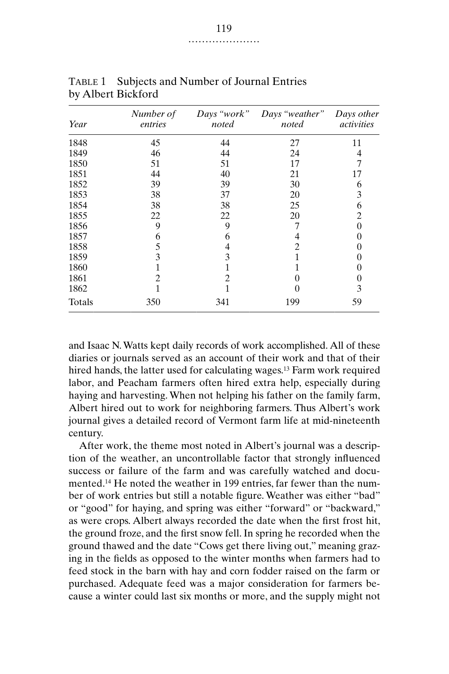| Year | Number of<br>entries | Days "work"<br>noted | Days "weather"<br>noted | Days other<br>activities |  |  |
|------|----------------------|----------------------|-------------------------|--------------------------|--|--|
| 1848 | 45                   | 44                   | 27                      | 11                       |  |  |
| 1849 | 46                   | 44                   | 24                      | 4                        |  |  |
| 1850 | 51                   | 51                   | 17                      |                          |  |  |
| 1851 | 44                   | 40                   | 21                      | 17                       |  |  |
| 1852 | 39                   | 39                   | 30                      | h                        |  |  |
| 1853 | 38                   | 37                   | 20                      | 3                        |  |  |
| 1854 | 38                   | 38                   | 25                      | 6                        |  |  |
| 1855 | 22                   | 22                   | 20                      | 2                        |  |  |
| 1856 | 9                    | 9                    |                         |                          |  |  |
| 1857 | 6                    | 6                    | 4                       |                          |  |  |
| 1858 | 5                    | 4                    | 2                       |                          |  |  |
| 1859 | 3                    | 3                    |                         |                          |  |  |
| 1860 |                      |                      |                         |                          |  |  |
| 1861 |                      | $\mathfrak{D}$       |                         |                          |  |  |
| 1862 |                      |                      |                         | 3                        |  |  |

TABLE 1 Subjects and Number of Journal Entries by Albert Bickford

and Isaac N. Watts kept daily records of work accomplished. All of these diaries or journals served as an account of their work and that of their hired hands, the latter used for calculating wages.13 Farm work required labor, and Peacham farmers often hired extra help, especially during haying and harvesting. When not helping his father on the family farm, Albert hired out to work for neighboring farmers. Thus Albert's work journal gives a detailed record of Vermont farm life at mid-nineteenth century.

Totals 350 341 199 59

After work, the theme most noted in Albert's journal was a description of the weather, an uncontrollable factor that strongly influenced success or failure of the farm and was carefully watched and documented.14 He noted the weather in 199 entries, far fewer than the number of work entries but still a notable figure. Weather was either "bad" or "good" for haying, and spring was either "forward" or "backward," as were crops. Albert always recorded the date when the first frost hit, the ground froze, and the first snow fell. In spring he recorded when the ground thawed and the date "Cows get there living out," meaning grazing in the fields as opposed to the winter months when farmers had to feed stock in the barn with hay and corn fodder raised on the farm or purchased. Adequate feed was a major consideration for farmers because a winter could last six months or more, and the supply might not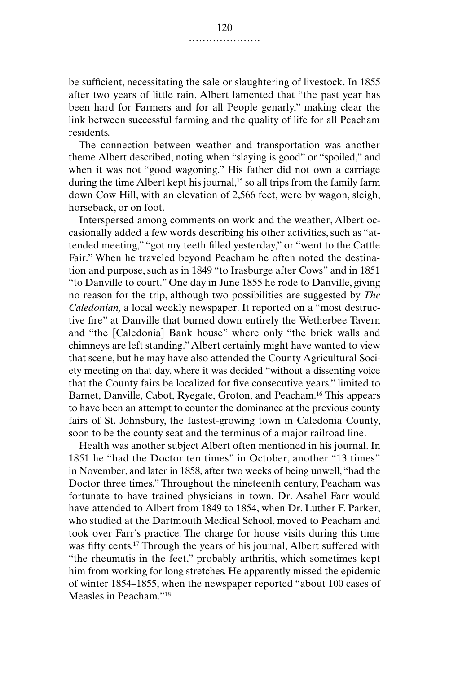be sufficient, necessitating the sale or slaughtering of livestock. In 1855 after two years of little rain, Albert lamented that "the past year has been hard for Farmers and for all People genarly," making clear the link between successful farming and the quality of life for all Peacham residents.

The connection between weather and transportation was another theme Albert described, noting when "slaying is good" or "spoiled," and when it was not "good wagoning." His father did not own a carriage during the time Albert kept his journal,<sup>15</sup> so all trips from the family farm down Cow Hill, with an elevation of 2,566 feet, were by wagon, sleigh, horseback, or on foot.

Interspersed among comments on work and the weather, Albert occasionally added a few words describing his other activities, such as "attended meeting," "got my teeth filled yesterday," or "went to the Cattle Fair." When he traveled beyond Peacham he often noted the destination and purpose, such as in 1849 "to Irasburge after Cows" and in 1851 "to Danville to court." One day in June 1855 he rode to Danville, giving no reason for the trip, although two possibilities are suggested by *The Caledonian,* a local weekly newspaper. It reported on a "most destructive fire" at Danville that burned down entirely the Wetherbee Tavern and "the [Caledonia] Bank house" where only "the brick walls and chimneys are left standing." Albert certainly might have wanted to view that scene, but he may have also attended the County Agricultural Society meeting on that day, where it was decided "without a dissenting voice that the County fairs be localized for five consecutive years," limited to Barnet, Danville, Cabot, Ryegate, Groton, and Peacham.16 This appears to have been an attempt to counter the dominance at the previous county fairs of St. Johnsbury, the fastest-growing town in Caledonia County, soon to be the county seat and the terminus of a major railroad line.

Health was another subject Albert often mentioned in his journal. In 1851 he "had the Doctor ten times" in October, another "13 times" in November, and later in 1858, after two weeks of being unwell, "had the Doctor three times." Throughout the nineteenth century, Peacham was fortunate to have trained physicians in town. Dr. Asahel Farr would have attended to Albert from 1849 to 1854, when Dr. Luther F. Parker, who studied at the Dartmouth Medical School, moved to Peacham and took over Farr's practice. The charge for house visits during this time was fifty cents.17 Through the years of his journal, Albert suffered with "the rheumatis in the feet," probably arthritis, which sometimes kept him from working for long stretches. He apparently missed the epidemic of winter 1854–1855, when the newspaper reported "about 100 cases of Measles in Peacham."18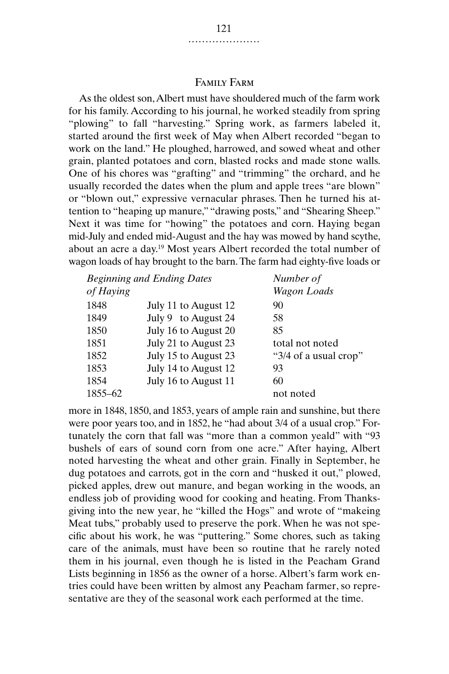## Family Farm

As the oldest son, Albert must have shouldered much of the farm work for his family. According to his journal, he worked steadily from spring "plowing" to fall "harvesting." Spring work, as farmers labeled it, started around the first week of May when Albert recorded "began to work on the land." He ploughed, harrowed, and sowed wheat and other grain, planted potatoes and corn, blasted rocks and made stone walls. One of his chores was "grafting" and "trimming" the orchard, and he usually recorded the dates when the plum and apple trees "are blown" or "blown out," expressive vernacular phrases. Then he turned his attention to "heaping up manure," "drawing posts," and "Shearing Sheep." Next it was time for "howing" the potatoes and corn. Haying began mid-July and ended mid-August and the hay was mowed by hand scythe, about an acre a day.19 Most years Albert recorded the total number of wagon loads of hay brought to the barn. The farm had eighty-five loads or

| <b>Beginning and Ending Dates</b> |                      | Number of             |
|-----------------------------------|----------------------|-----------------------|
| of Haying                         |                      | <b>Wagon</b> Loads    |
| 1848                              | July 11 to August 12 | 90                    |
| 1849                              | July 9 to August 24  | 58                    |
| 1850                              | July 16 to August 20 | 85                    |
| 1851                              | July 21 to August 23 | total not noted       |
| 1852                              | July 15 to August 23 | "3/4 of a usual crop" |
| 1853                              | July 14 to August 12 | 93                    |
| 1854                              | July 16 to August 11 | 60                    |
| 1855-62                           |                      | not noted             |

more in 1848, 1850, and 1853, years of ample rain and sunshine, but there were poor years too, and in 1852, he "had about 3/4 of a usual crop." Fortunately the corn that fall was "more than a common yeald" with "93 bushels of ears of sound corn from one acre." After haying, Albert noted harvesting the wheat and other grain. Finally in September, he dug potatoes and carrots, got in the corn and "husked it out," plowed, picked apples, drew out manure, and began working in the woods, an endless job of providing wood for cooking and heating. From Thanksgiving into the new year, he "killed the Hogs" and wrote of "makeing Meat tubs," probably used to preserve the pork. When he was not specific about his work, he was "puttering." Some chores, such as taking care of the animals, must have been so routine that he rarely noted them in his journal, even though he is listed in the Peacham Grand Lists beginning in 1856 as the owner of a horse. Albert's farm work entries could have been written by almost any Peacham farmer, so representative are they of the seasonal work each performed at the time.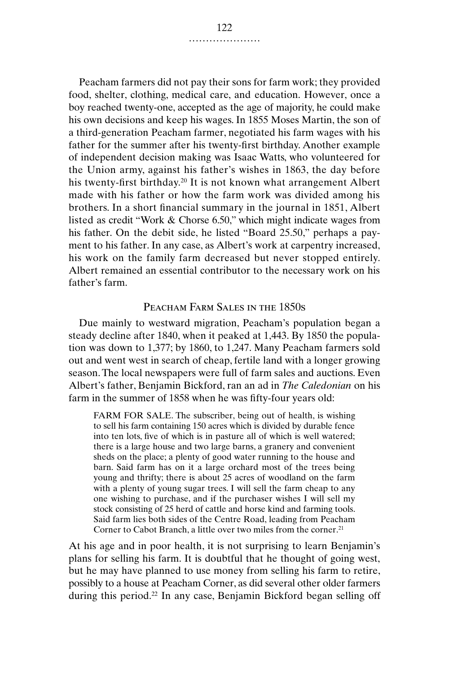Peacham farmers did not pay their sons for farm work; they provided food, shelter, clothing, medical care, and education. However, once a boy reached twenty-one, accepted as the age of majority, he could make his own decisions and keep his wages. In 1855 Moses Martin, the son of a third-generation Peacham farmer, negotiated his farm wages with his father for the summer after his twenty-first birthday. Another example of independent decision making was Isaac Watts, who volunteered for the Union army, against his father's wishes in 1863, the day before his twenty-first birthday.<sup>20</sup> It is not known what arrangement Albert made with his father or how the farm work was divided among his brothers. In a short financial summary in the journal in 1851, Albert listed as credit "Work & Chorse 6.50," which might indicate wages from his father. On the debit side, he listed "Board 25.50," perhaps a payment to his father. In any case, as Albert's work at carpentry increased, his work on the family farm decreased but never stopped entirely. Albert remained an essential contributor to the necessary work on his father's farm.

## PEACHAM FARM SALES IN THE 1850s

Due mainly to westward migration, Peacham's population began a steady decline after 1840, when it peaked at 1,443. By 1850 the population was down to 1,377; by 1860, to 1,247. Many Peacham farmers sold out and went west in search of cheap, fertile land with a longer growing season. The local newspapers were full of farm sales and auctions. Even Albert's father, Benjamin Bickford, ran an ad in *The Caledonian* on his farm in the summer of 1858 when he was fifty-four years old:

FARM FOR SALE. The subscriber, being out of health, is wishing to sell his farm containing 150 acres which is divided by durable fence into ten lots, five of which is in pasture all of which is well watered; there is a large house and two large barns, a granery and convenient sheds on the place; a plenty of good water running to the house and barn. Said farm has on it a large orchard most of the trees being young and thrifty; there is about 25 acres of woodland on the farm with a plenty of young sugar trees. I will sell the farm cheap to any one wishing to purchase, and if the purchaser wishes I will sell my stock consisting of 25 herd of cattle and horse kind and farming tools. Said farm lies both sides of the Centre Road, leading from Peacham Corner to Cabot Branch, a little over two miles from the corner.<sup>21</sup>

At his age and in poor health, it is not surprising to learn Benjamin's plans for selling his farm. It is doubtful that he thought of going west, but he may have planned to use money from selling his farm to retire, possibly to a house at Peacham Corner, as did several other older farmers during this period.<sup>22</sup> In any case, Benjamin Bickford began selling off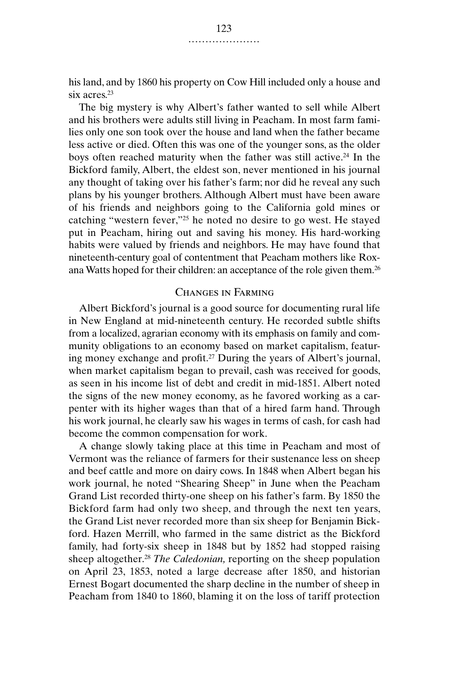his land, and by 1860 his property on Cow Hill included only a house and six acres.23

The big mystery is why Albert's father wanted to sell while Albert and his brothers were adults still living in Peacham. In most farm families only one son took over the house and land when the father became less active or died. Often this was one of the younger sons, as the older boys often reached maturity when the father was still active.<sup>24</sup> In the Bickford family, Albert, the eldest son, never mentioned in his journal any thought of taking over his father's farm; nor did he reveal any such plans by his younger brothers. Although Albert must have been aware of his friends and neighbors going to the California gold mines or catching "western fever,"25 he noted no desire to go west. He stayed put in Peacham, hiring out and saving his money. His hard-working habits were valued by friends and neighbors. He may have found that nineteenth-century goal of contentment that Peacham mothers like Roxana Watts hoped for their children: an acceptance of the role given them.26

## Changes in Farming

Albert Bickford's journal is a good source for documenting rural life in New England at mid-nineteenth century. He recorded subtle shifts from a localized, agrarian economy with its emphasis on family and community obligations to an economy based on market capitalism, featuring money exchange and profit.27 During the years of Albert's journal, when market capitalism began to prevail, cash was received for goods, as seen in his income list of debt and credit in mid-1851. Albert noted the signs of the new money economy, as he favored working as a carpenter with its higher wages than that of a hired farm hand. Through his work journal, he clearly saw his wages in terms of cash, for cash had become the common compensation for work.

A change slowly taking place at this time in Peacham and most of Vermont was the reliance of farmers for their sustenance less on sheep and beef cattle and more on dairy cows. In 1848 when Albert began his work journal, he noted "Shearing Sheep" in June when the Peacham Grand List recorded thirty-one sheep on his father's farm. By 1850 the Bickford farm had only two sheep, and through the next ten years, the Grand List never recorded more than six sheep for Benjamin Bickford. Hazen Merrill, who farmed in the same district as the Bickford family, had forty-six sheep in 1848 but by 1852 had stopped raising sheep altogether.28 *The Caledonian,* reporting on the sheep population on April 23, 1853, noted a large decrease after 1850, and historian Ernest Bogart documented the sharp decline in the number of sheep in Peacham from 1840 to 1860, blaming it on the loss of tariff protection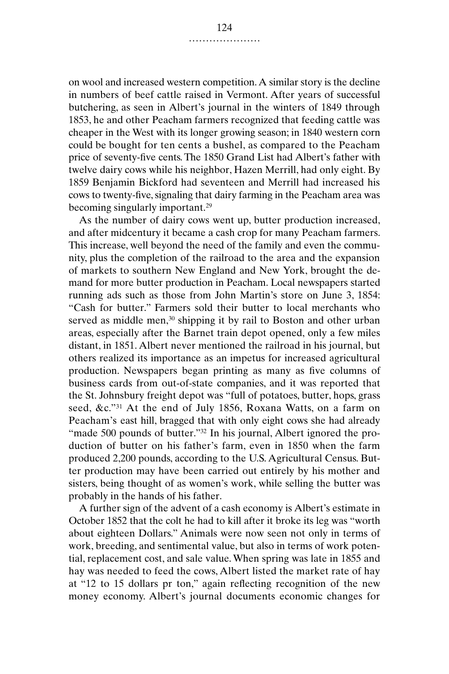on wool and increased western competition. A similar story is the decline in numbers of beef cattle raised in Vermont. After years of successful butchering, as seen in Albert's journal in the winters of 1849 through 1853, he and other Peacham farmers recognized that feeding cattle was cheaper in the West with its longer growing season; in 1840 western corn could be bought for ten cents a bushel, as compared to the Peacham price of seventy-five cents. The 1850 Grand List had Albert's father with twelve dairy cows while his neighbor, Hazen Merrill, had only eight. By 1859 Benjamin Bickford had seventeen and Merrill had increased his cows to twenty-five, signaling that dairy farming in the Peacham area was becoming singularly important.29

As the number of dairy cows went up, butter production increased, and after midcentury it became a cash crop for many Peacham farmers. This increase, well beyond the need of the family and even the community, plus the completion of the railroad to the area and the expansion of markets to southern New England and New York, brought the demand for more butter production in Peacham. Local newspapers started running ads such as those from John Martin's store on June 3, 1854: "Cash for butter." Farmers sold their butter to local merchants who served as middle men,<sup>30</sup> shipping it by rail to Boston and other urban areas, especially after the Barnet train depot opened, only a few miles distant, in 1851. Albert never mentioned the railroad in his journal, but others realized its importance as an impetus for increased agricultural production. Newspapers began printing as many as five columns of business cards from out-of-state companies, and it was reported that the St. Johnsbury freight depot was "full of potatoes, butter, hops, grass seed, &c."31 At the end of July 1856, Roxana Watts, on a farm on Peacham's east hill, bragged that with only eight cows she had already "made 500 pounds of butter."<sup>32</sup> In his journal, Albert ignored the production of butter on his father's farm, even in 1850 when the farm produced 2,200 pounds, according to the U.S. Agricultural Census. Butter production may have been carried out entirely by his mother and sisters, being thought of as women's work, while selling the butter was probably in the hands of his father.

A further sign of the advent of a cash economy is Albert's estimate in October 1852 that the colt he had to kill after it broke its leg was "worth about eighteen Dollars." Animals were now seen not only in terms of work, breeding, and sentimental value, but also in terms of work potential, replacement cost, and sale value. When spring was late in 1855 and hay was needed to feed the cows, Albert listed the market rate of hay at "12 to 15 dollars pr ton," again reflecting recognition of the new money economy. Albert's journal documents economic changes for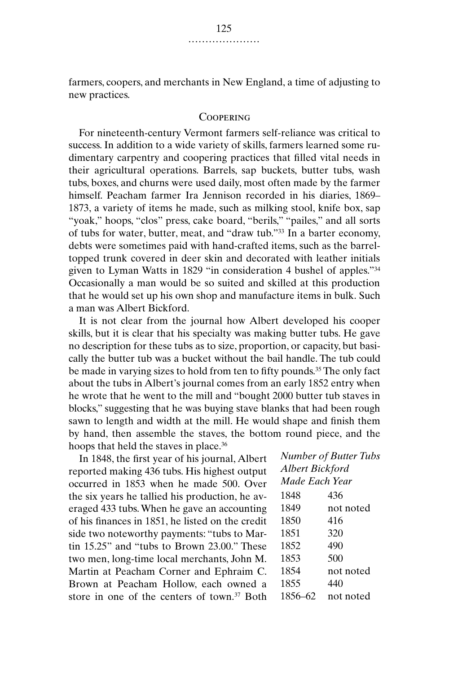farmers, coopers, and merchants in New England, a time of adjusting to new practices.

## **COOPERING**

For nineteenth-century Vermont farmers self-reliance was critical to success. In addition to a wide variety of skills, farmers learned some rudimentary carpentry and coopering practices that filled vital needs in their agricultural operations. Barrels, sap buckets, butter tubs, wash tubs, boxes, and churns were used daily, most often made by the farmer himself. Peacham farmer Ira Jennison recorded in his diaries, 1869– 1873, a variety of items he made, such as milking stool, knife box, sap "yoak," hoops, "clos" press, cake board, "berils," "pailes," and all sorts of tubs for water, butter, meat, and "draw tub."33 In a barter economy, debts were sometimes paid with hand-crafted items, such as the barreltopped trunk covered in deer skin and decorated with leather initials given to Lyman Watts in 1829 "in consideration 4 bushel of apples."34 Occasionally a man would be so suited and skilled at this production that he would set up his own shop and manufacture items in bulk. Such a man was Albert Bickford.

It is not clear from the journal how Albert developed his cooper skills, but it is clear that his specialty was making butter tubs. He gave no description for these tubs as to size, proportion, or capacity, but basically the butter tub was a bucket without the bail handle. The tub could be made in varying sizes to hold from ten to fifty pounds.<sup>35</sup> The only fact about the tubs in Albert's journal comes from an early 1852 entry when he wrote that he went to the mill and "bought 2000 butter tub staves in blocks," suggesting that he was buying stave blanks that had been rough sawn to length and width at the mill. He would shape and finish them by hand, then assemble the staves, the bottom round piece, and the hoops that held the staves in place.<sup>36</sup>

In 1848, the first year of his journal, Albert reported making 436 tubs. His highest output occurred in 1853 when he made 500. Over the six years he tallied his production, he averaged 433 tubs. When he gave an accounting of his finances in 1851, he listed on the credit side two noteworthy payments: "tubs to Martin 15.25" and "tubs to Brown 23.00." These two men, long-time local merchants, John M. Martin at Peacham Corner and Ephraim C. Brown at Peacham Hollow, each owned a store in one of the centers of town.<sup>37</sup> Both *Number of Butter Tubs Albert Bickford Made Each Year*

| 1848    | 436       |
|---------|-----------|
| 1849    | not noted |
| 1850    | 416       |
| 1851    | 320       |
| 1852    | 490       |
| 1853    | 500       |
| 1854    | not noted |
| 1855    | 440       |
| 1856–62 | not noted |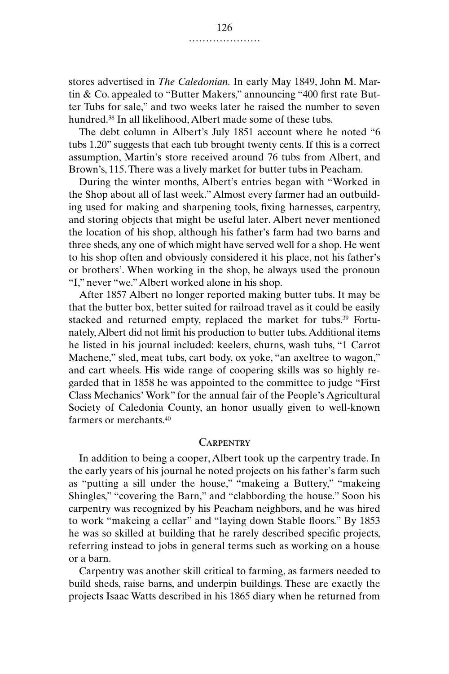stores advertised in *The Caledonian.* In early May 1849, John M. Martin & Co. appealed to "Butter Makers," announcing "400 first rate Butter Tubs for sale," and two weeks later he raised the number to seven hundred.38 In all likelihood, Albert made some of these tubs.

The debt column in Albert's July 1851 account where he noted "6 tubs 1.20" suggests that each tub brought twenty cents. If this is a correct assumption, Martin's store received around 76 tubs from Albert, and Brown's, 115. There was a lively market for butter tubs in Peacham.

During the winter months, Albert's entries began with "Worked in the Shop about all of last week." Almost every farmer had an outbuilding used for making and sharpening tools, fixing harnesses, carpentry, and storing objects that might be useful later. Albert never mentioned the location of his shop, although his father's farm had two barns and three sheds, any one of which might have served well for a shop. He went to his shop often and obviously considered it his place, not his father's or brothers'. When working in the shop, he always used the pronoun "I," never "we." Albert worked alone in his shop.

After 1857 Albert no longer reported making butter tubs. It may be that the butter box, better suited for railroad travel as it could be easily stacked and returned empty, replaced the market for tubs.39 Fortunately, Albert did not limit his production to butter tubs. Additional items he listed in his journal included: keelers, churns, wash tubs, "1 Carrot Machene," sled, meat tubs, cart body, ox yoke, "an axeltree to wagon," and cart wheels. His wide range of coopering skills was so highly regarded that in 1858 he was appointed to the committee to judge "First Class Mechanics' Work" for the annual fair of the People's Agricultural Society of Caledonia County, an honor usually given to well-known farmers or merchants.40

#### **CARPENTRY**

In addition to being a cooper, Albert took up the carpentry trade. In the early years of his journal he noted projects on his father's farm such as "putting a sill under the house," "makeing a Buttery," "makeing Shingles," "covering the Barn," and "clabbording the house." Soon his carpentry was recognized by his Peacham neighbors, and he was hired to work "makeing a cellar" and "laying down Stable floors." By 1853 he was so skilled at building that he rarely described specific projects, referring instead to jobs in general terms such as working on a house or a barn.

Carpentry was another skill critical to farming, as farmers needed to build sheds, raise barns, and underpin buildings. These are exactly the projects Isaac Watts described in his 1865 diary when he returned from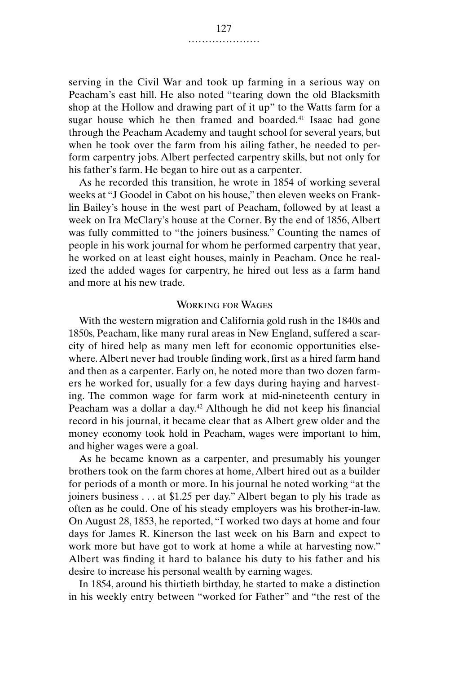serving in the Civil War and took up farming in a serious way on Peacham's east hill. He also noted "tearing down the old Blacksmith shop at the Hollow and drawing part of it up" to the Watts farm for a sugar house which he then framed and boarded.<sup>41</sup> Isaac had gone through the Peacham Academy and taught school for several years, but when he took over the farm from his ailing father, he needed to perform carpentry jobs. Albert perfected carpentry skills, but not only for his father's farm. He began to hire out as a carpenter.

As he recorded this transition, he wrote in 1854 of working several weeks at "J Goodel in Cabot on his house," then eleven weeks on Franklin Bailey's house in the west part of Peacham, followed by at least a week on Ira McClary's house at the Corner. By the end of 1856, Albert was fully committed to "the joiners business." Counting the names of people in his work journal for whom he performed carpentry that year, he worked on at least eight houses, mainly in Peacham. Once he realized the added wages for carpentry, he hired out less as a farm hand and more at his new trade.

## Working for Wages

With the western migration and California gold rush in the 1840s and 1850s, Peacham, like many rural areas in New England, suffered a scarcity of hired help as many men left for economic opportunities elsewhere. Albert never had trouble finding work, first as a hired farm hand and then as a carpenter. Early on, he noted more than two dozen farmers he worked for, usually for a few days during haying and harvesting. The common wage for farm work at mid-nineteenth century in Peacham was a dollar a day.<sup>42</sup> Although he did not keep his financial record in his journal, it became clear that as Albert grew older and the money economy took hold in Peacham, wages were important to him, and higher wages were a goal.

As he became known as a carpenter, and presumably his younger brothers took on the farm chores at home, Albert hired out as a builder for periods of a month or more. In his journal he noted working "at the joiners business . . . at \$1.25 per day." Albert began to ply his trade as often as he could. One of his steady employers was his brother-in-law. On August 28, 1853, he reported, "I worked two days at home and four days for James R. Kinerson the last week on his Barn and expect to work more but have got to work at home a while at harvesting now." Albert was finding it hard to balance his duty to his father and his desire to increase his personal wealth by earning wages.

In 1854, around his thirtieth birthday, he started to make a distinction in his weekly entry between "worked for Father" and "the rest of the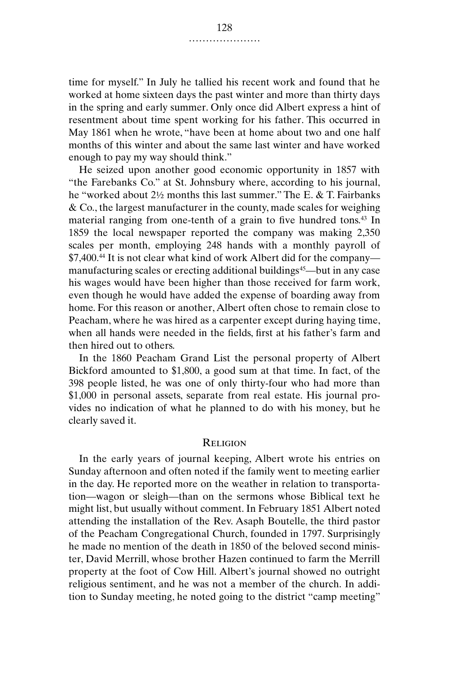time for myself." In July he tallied his recent work and found that he worked at home sixteen days the past winter and more than thirty days in the spring and early summer. Only once did Albert express a hint of resentment about time spent working for his father. This occurred in May 1861 when he wrote, "have been at home about two and one half months of this winter and about the same last winter and have worked enough to pay my way should think."

He seized upon another good economic opportunity in 1857 with "the Farebanks Co." at St. Johnsbury where, according to his journal, he "worked about 2½ months this last summer." The E. & T. Fairbanks & Co., the largest manufacturer in the county, made scales for weighing material ranging from one-tenth of a grain to five hundred tons.43 In 1859 the local newspaper reported the company was making 2,350 scales per month, employing 248 hands with a monthly payroll of \$7,400.44 It is not clear what kind of work Albert did for the company manufacturing scales or erecting additional buildings<sup>45</sup>—but in any case his wages would have been higher than those received for farm work, even though he would have added the expense of boarding away from home. For this reason or another, Albert often chose to remain close to Peacham, where he was hired as a carpenter except during haying time, when all hands were needed in the fields, first at his father's farm and then hired out to others.

In the 1860 Peacham Grand List the personal property of Albert Bickford amounted to \$1,800, a good sum at that time. In fact, of the 398 people listed, he was one of only thirty-four who had more than \$1,000 in personal assets, separate from real estate. His journal provides no indication of what he planned to do with his money, but he clearly saved it.

## **RELIGION**

In the early years of journal keeping, Albert wrote his entries on Sunday afternoon and often noted if the family went to meeting earlier in the day. He reported more on the weather in relation to transportation—wagon or sleigh—than on the sermons whose Biblical text he might list, but usually without comment. In February 1851 Albert noted attending the installation of the Rev. Asaph Boutelle, the third pastor of the Peacham Congregational Church, founded in 1797. Surprisingly he made no mention of the death in 1850 of the beloved second minister, David Merrill, whose brother Hazen continued to farm the Merrill property at the foot of Cow Hill. Albert's journal showed no outright religious sentiment, and he was not a member of the church. In addition to Sunday meeting, he noted going to the district "camp meeting"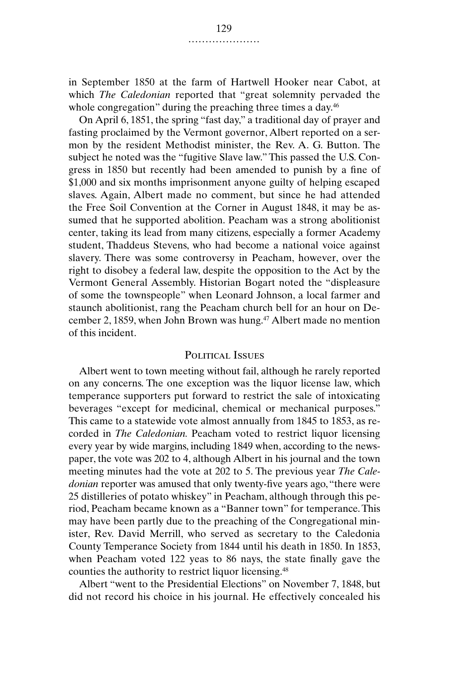in September 1850 at the farm of Hartwell Hooker near Cabot, at which *The Caledonian* reported that "great solemnity pervaded the whole congregation" during the preaching three times a day.<sup>46</sup>

On April 6, 1851, the spring "fast day," a traditional day of prayer and fasting proclaimed by the Vermont governor, Albert reported on a sermon by the resident Methodist minister, the Rev. A. G. Button. The subject he noted was the "fugitive Slave law." This passed the U.S. Congress in 1850 but recently had been amended to punish by a fine of \$1,000 and six months imprisonment anyone guilty of helping escaped slaves. Again, Albert made no comment, but since he had attended the Free Soil Convention at the Corner in August 1848, it may be assumed that he supported abolition. Peacham was a strong abolitionist center, taking its lead from many citizens, especially a former Academy student, Thaddeus Stevens, who had become a national voice against slavery. There was some controversy in Peacham, however, over the right to disobey a federal law, despite the opposition to the Act by the Vermont General Assembly. Historian Bogart noted the "displeasure of some the townspeople" when Leonard Johnson, a local farmer and staunch abolitionist, rang the Peacham church bell for an hour on December 2, 1859, when John Brown was hung.<sup>47</sup> Albert made no mention of this incident.

## POLITICAL ISSUES

Albert went to town meeting without fail, although he rarely reported on any concerns. The one exception was the liquor license law, which temperance supporters put forward to restrict the sale of intoxicating beverages "except for medicinal, chemical or mechanical purposes." This came to a statewide vote almost annually from 1845 to 1853, as recorded in *The Caledonian.* Peacham voted to restrict liquor licensing every year by wide margins, including 1849 when, according to the newspaper, the vote was 202 to 4, although Albert in his journal and the town meeting minutes had the vote at 202 to 5. The previous year *The Caledonian* reporter was amused that only twenty-five years ago, "there were 25 distilleries of potato whiskey" in Peacham, although through this period, Peacham became known as a "Banner town" for temperance. This may have been partly due to the preaching of the Congregational minister, Rev. David Merrill, who served as secretary to the Caledonia County Temperance Society from 1844 until his death in 1850. In 1853, when Peacham voted 122 yeas to 86 nays, the state finally gave the counties the authority to restrict liquor licensing.48

Albert "went to the Presidential Elections" on November 7, 1848, but did not record his choice in his journal. He effectively concealed his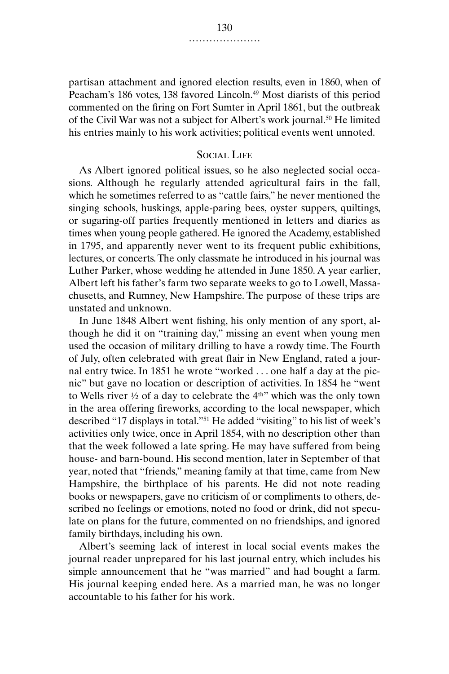partisan attachment and ignored election results, even in 1860, when of Peacham's 186 votes, 138 favored Lincoln.<sup>49</sup> Most diarists of this period commented on the firing on Fort Sumter in April 1861, but the outbreak of the Civil War was not a subject for Albert's work journal.50 He limited his entries mainly to his work activities; political events went unnoted.

## Social Life

As Albert ignored political issues, so he also neglected social occasions. Although he regularly attended agricultural fairs in the fall, which he sometimes referred to as "cattle fairs," he never mentioned the singing schools, huskings, apple-paring bees, oyster suppers, quiltings, or sugaring-off parties frequently mentioned in letters and diaries as times when young people gathered. He ignored the Academy, established in 1795, and apparently never went to its frequent public exhibitions, lectures, or concerts. The only classmate he introduced in his journal was Luther Parker, whose wedding he attended in June 1850. A year earlier, Albert left his father's farm two separate weeks to go to Lowell, Massachusetts, and Rumney, New Hampshire. The purpose of these trips are unstated and unknown.

In June 1848 Albert went fishing, his only mention of any sport, although he did it on "training day," missing an event when young men used the occasion of military drilling to have a rowdy time. The Fourth of July, often celebrated with great flair in New England, rated a journal entry twice. In 1851 he wrote "worked . . . one half a day at the picnic" but gave no location or description of activities. In 1854 he "went to Wells river ½ of a day to celebrate the 4th" which was the only town in the area offering fireworks, according to the local newspaper, which described "17 displays in total."51 He added "visiting" to his list of week's activities only twice, once in April 1854, with no description other than that the week followed a late spring. He may have suffered from being house- and barn-bound. His second mention, later in September of that year, noted that "friends," meaning family at that time, came from New Hampshire, the birthplace of his parents. He did not note reading books or newspapers, gave no criticism of or compliments to others, described no feelings or emotions, noted no food or drink, did not speculate on plans for the future, commented on no friendships, and ignored family birthdays, including his own.

Albert's seeming lack of interest in local social events makes the journal reader unprepared for his last journal entry, which includes his simple announcement that he "was married" and had bought a farm. His journal keeping ended here. As a married man, he was no longer accountable to his father for his work.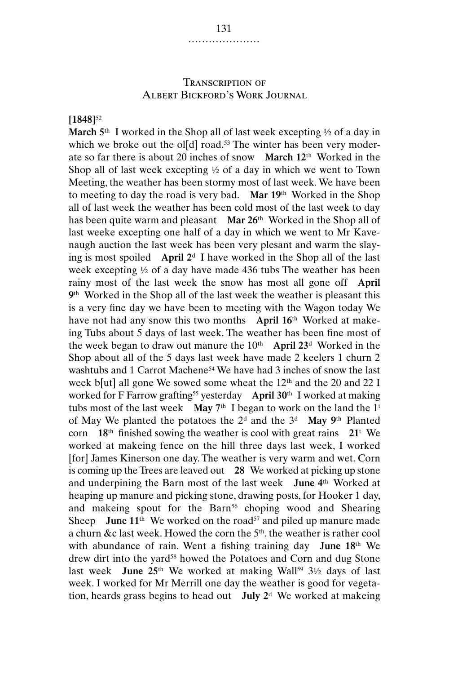## Transcription of ALBERT BICKFORD'S WORK JOURNAL

**[1848]**<sup>52</sup>

**March 5**th I worked in the Shop all of last week excepting ½ of a day in which we broke out the ol[d] road.<sup>53</sup> The winter has been very moderate so far there is about 20 inches of snow **March 12**th Worked in the Shop all of last week excepting ½ of a day in which we went to Town Meeting, the weather has been stormy most of last week. We have been to meeting to day the road is very bad. **Mar 19**th Worked in the Shop all of last week the weather has been cold most of the last week to day has been quite warm and pleasant **Mar 26**th Worked in the Shop all of last weeke excepting one half of a day in which we went to Mr Kavenaugh auction the last week has been very plesant and warm the slaying is most spoiled **April 2**<sup>d</sup> I have worked in the Shop all of the last week excepting ½ of a day have made 436 tubs The weather has been rainy most of the last week the snow has most all gone off **April 9**th Worked in the Shop all of the last week the weather is pleasant this is a very fine day we have been to meeting with the Wagon today We have not had any snow this two months **April 16**th Worked at makeing Tubs about 5 days of last week. The weather has been fine most of the week began to draw out manure the 10th **April 23**<sup>d</sup> Worked in the Shop about all of the 5 days last week have made 2 keelers 1 churn 2 washtubs and 1 Carrot Machene<sup>54</sup> We have had 3 inches of snow the last week b[ut] all gone We sowed some wheat the 12<sup>th</sup> and the 20 and 22 I worked for F Farrow grafting55 yesterday **April 30**th I worked at making tubs most of the last week **May**  $7<sup>th</sup>$  I began to work on the land the  $1<sup>t</sup>$ of May We planted the potatoes the 2d and the 3d **May 9**th Planted corn **18**th finished sowing the weather is cool with great rains **21**<sup>t</sup> We worked at makeing fence on the hill three days last week, I worked [for] James Kinerson one day. The weather is very warm and wet. Corn is coming up the Trees are leaved out **28** We worked at picking up stone and underpining the Barn most of the last week **June 4**th Worked at heaping up manure and picking stone, drawing posts, for Hooker 1 day, and makeing spout for the Barn<sup>56</sup> choping wood and Shearing Sheep **June 11**<sup>th</sup> We worked on the road<sup>57</sup> and piled up manure made a churn &c last week. Howed the corn the 5<sup>th</sup> the weather is rather cool with abundance of rain. Went a fishing training day **June 18**th We drew dirt into the yard<sup>58</sup> howed the Potatoes and Corn and dug Stone last week **June 25**<sup>th</sup> We worked at making Wall<sup>59</sup> 3<sup>1</sup>/<sub>2</sub> days of last week. I worked for Mr Merrill one day the weather is good for vegetation, heards grass begins to head out **July 2**<sup>d</sup> We worked at makeing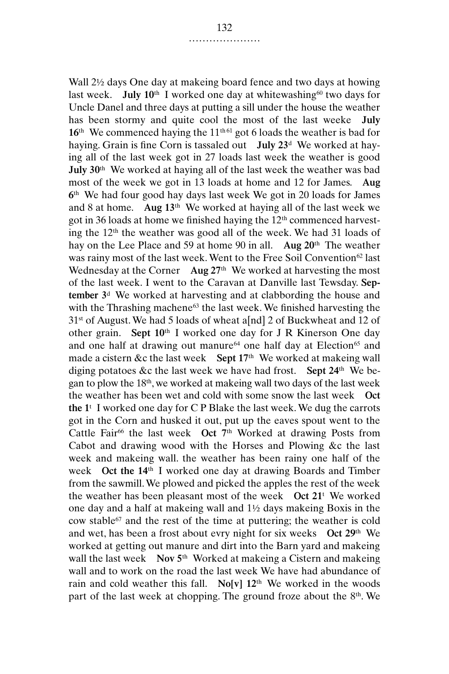Wall 2½ days One day at makeing board fence and two days at howing last week. **July 10**<sup>th</sup> I worked one day at whitewashing<sup>60</sup> two days for Uncle Danel and three days at putting a sill under the house the weather has been stormy and quite cool the most of the last weeke **July** 16<sup>th</sup> We commenced haying the 11<sup>th 61</sup> got 6 loads the weather is bad for haying. Grain is fine Corn is tassaled out **July 23**<sup>d</sup> We worked at haying all of the last week got in 27 loads last week the weather is good **July 30**th We worked at haying all of the last week the weather was bad most of the week we got in 13 loads at home and 12 for James. **Aug 6**th We had four good hay days last week We got in 20 loads for James and 8 at home. **Aug 13**th We worked at haying all of the last week we got in 36 loads at home we finished haying the 12th commenced harvesting the 12th the weather was good all of the week. We had 31 loads of hay on the Lee Place and 59 at home 90 in all. **Aug 20**th The weather was rainy most of the last week. Went to the Free Soil Convention<sup>62</sup> last Wednesday at the Corner **Aug 27**th We worked at harvesting the most of the last week. I went to the Caravan at Danville last Tewsday. **September 3**<sup>d</sup> We worked at harvesting and at clabbording the house and with the Thrashing machene<sup>63</sup> the last week. We finished harvesting the 31st of August. We had 5 loads of wheat a[nd] 2 of Buckwheat and 12 of other grain. **Sept 10**th I worked one day for J R Kinerson One day and one half at drawing out manure<sup>64</sup> one half day at Election<sup>65</sup> and made a cistern &c the last week **Sept 17**th We worked at makeing wall diging potatoes &c the last week we have had frost. **Sept 24**th We began to plow the 18th, we worked at makeing wall two days of the last week the weather has been wet and cold with some snow the last week **Oct the 1**<sup>t</sup> I worked one day for C P Blake the last week. We dug the carrots got in the Corn and husked it out, put up the eaves spout went to the Cattle Fair<sup>66</sup> the last week Oct 7<sup>th</sup> Worked at drawing Posts from Cabot and drawing wood with the Horses and Plowing &c the last week and makeing wall. the weather has been rainy one half of the week **Oct the 14**th I worked one day at drawing Boards and Timber from the sawmill. We plowed and picked the apples the rest of the week the weather has been pleasant most of the week **Oct 21**<sup>t</sup> We worked one day and a half at makeing wall and 1½ days makeing Boxis in the cow stable67 and the rest of the time at puttering; the weather is cold and wet, has been a frost about evry night for six weeks **Oct 29**th We worked at getting out manure and dirt into the Barn yard and makeing wall the last week **Nov 5**th Worked at makeing a Cistern and makeing wall and to work on the road the last week We have had abundance of rain and cold weather this fall. **No[v] 12**th We worked in the woods part of the last week at chopping. The ground froze about the 8<sup>th</sup>. We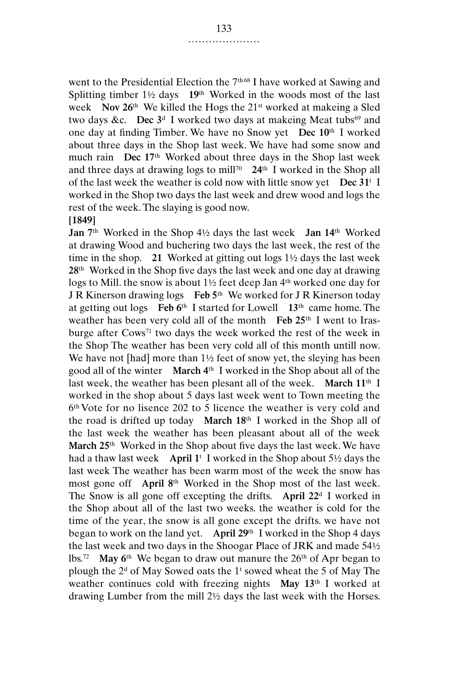went to the Presidential Election the 7<sup>th 68</sup> I have worked at Sawing and Splitting timber 1½ days **19**th Worked in the woods most of the last week **Nov 26**th We killed the Hogs the 21st worked at makeing a Sled two days &c. **Dec**  $3<sup>d</sup>$  I worked two days at makeing Meat tubs<sup>69</sup> and one day at finding Timber. We have no Snow yet **Dec 10**th I worked about three days in the Shop last week. We have had some snow and much rain **Dec 17**th Worked about three days in the Shop last week and three days at drawing logs to mill<sup>70</sup>  $24<sup>th</sup>$  I worked in the Shop all of the last week the weather is cold now with little snow yet **Dec 31**<sup>t</sup> I worked in the Shop two days the last week and drew wood and logs the rest of the week. The slaying is good now.

#### **[1849]**

**Jan 7**th Worked in the Shop 4½ days the last week **Jan 14**th Worked at drawing Wood and buchering two days the last week, the rest of the time in the shop. **21** Worked at gitting out logs 1½ days the last week **28**th Worked in the Shop five days the last week and one day at drawing logs to Mill. the snow is about 1½ feet deep Jan 4th worked one day for J R Kinerson drawing logs **Feb 5**th We worked for J R Kinerson today at getting out logs **Feb 6**th I started for Lowell **13**th came home. The weather has been very cold all of the month **Feb 25**th I went to Irasburge after Cows71 two days the week worked the rest of the week in the Shop The weather has been very cold all of this month untill now. We have not [had] more than  $1\frac{1}{2}$  feet of snow yet, the sleying has been good all of the winter **March 4**th I worked in the Shop about all of the last week, the weather has been plesant all of the week. **March 11**th I worked in the shop about 5 days last week went to Town meeting the 6th Vote for no lisence 202 to 5 licence the weather is very cold and the road is drifted up today **March 18**th I worked in the Shop all of the last week the weather has been pleasant about all of the week **March 25**th Worked in the Shop about five days the last week. We have had a thaw last week **April 1**<sup>t</sup> I worked in the Shop about 5½ days the last week The weather has been warm most of the week the snow has most gone off **April 8**th Worked in the Shop most of the last week. The Snow is all gone off excepting the drifts. **April 22**<sup>d</sup> I worked in the Shop about all of the last two weeks. the weather is cold for the time of the year, the snow is all gone except the drifts. we have not began to work on the land yet. **April 29**th I worked in the Shop 4 days the last week and two days in the Shoogar Place of JRK and made 54½ lbs.<sup>72</sup> May 6<sup>th</sup> We began to draw out manure the 26<sup>th</sup> of Apr began to plough the  $2<sup>d</sup>$  of May Sowed oats the  $1<sup>t</sup>$  sowed wheat the 5 of May The weather continues cold with freezing nights **May 13**th I worked at drawing Lumber from the mill 2½ days the last week with the Horses.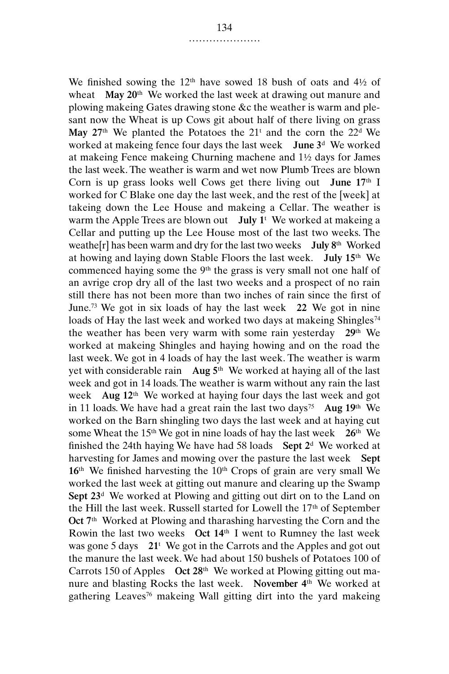We finished sowing the  $12<sup>th</sup>$  have sowed 18 bush of oats and  $4\frac{1}{2}$  of wheat **May 20**th We worked the last week at drawing out manure and plowing makeing Gates drawing stone &c the weather is warm and plesant now the Wheat is up Cows git about half of there living on grass May  $27<sup>th</sup>$  We planted the Potatoes the  $21<sup>t</sup>$  and the corn the  $22<sup>d</sup>$  We worked at makeing fence four days the last week **June 3**<sup>d</sup> We worked at makeing Fence makeing Churning machene and 1½ days for James the last week. The weather is warm and wet now Plumb Trees are blown Corn is up grass looks well Cows get there living out **June 17**th I worked for C Blake one day the last week, and the rest of the [week] at takeing down the Lee House and makeing a Cellar. The weather is warm the Apple Trees are blown out **July 1**<sup>t</sup> We worked at makeing a Cellar and putting up the Lee House most of the last two weeks. The weathe[r] has been warm and dry for the last two weeks **July 8**th Worked at howing and laying down Stable Floors the last week. **July 15**th We commenced haying some the 9<sup>th</sup> the grass is very small not one half of an avrige crop dry all of the last two weeks and a prospect of no rain still there has not been more than two inches of rain since the first of June.73 We got in six loads of hay the last week **22** We got in nine loads of Hay the last week and worked two days at makeing Shingles<sup>74</sup> the weather has been very warm with some rain yesterday **29**th We worked at makeing Shingles and haying howing and on the road the last week. We got in 4 loads of hay the last week. The weather is warm yet with considerable rain **Aug 5**th We worked at haying all of the last week and got in 14 loads. The weather is warm without any rain the last week **Aug 12**th We worked at haying four days the last week and got in 11 loads. We have had a great rain the last two days<sup>75</sup> Aug  $19<sup>th</sup>$  We worked on the Barn shingling two days the last week and at haying cut some Wheat the 15th We got in nine loads of hay the last week **26**th We finished the 24th haying We have had 58 loads **Sept 2**<sup>d</sup> We worked at harvesting for James and mowing over the pasture the last week **Sept**  $16<sup>th</sup>$  We finished harvesting the  $10<sup>th</sup>$  Crops of grain are very small We worked the last week at gitting out manure and clearing up the Swamp **Sept 23**<sup>d</sup> We worked at Plowing and gitting out dirt on to the Land on the Hill the last week. Russell started for Lowell the 17th of September **Oct 7**th Worked at Plowing and tharashing harvesting the Corn and the Rowin the last two weeks **Oct 14**th I went to Rumney the last week was gone 5 days **21**<sup>t</sup> We got in the Carrots and the Apples and got out the manure the last week. We had about 150 bushels of Potatoes 100 of Carrots 150 of Apples **Oct 28**th We worked at Plowing gitting out manure and blasting Rocks the last week. **November 4**th We worked at gathering Leaves76 makeing Wall gitting dirt into the yard makeing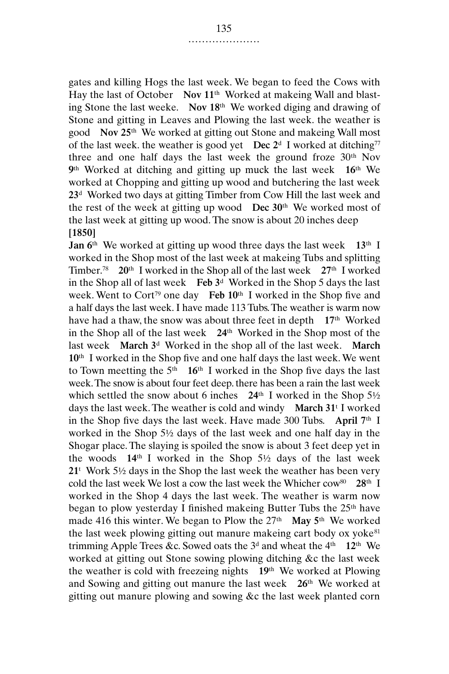gates and killing Hogs the last week. We began to feed the Cows with Hay the last of October **Nov 11**th Worked at makeing Wall and blasting Stone the last weeke. **Nov 18**th We worked diging and drawing of Stone and gitting in Leaves and Plowing the last week. the weather is good **Nov 25**th We worked at gitting out Stone and makeing Wall most of the last week. the weather is good yet **Dec**  $2^d$  I worked at ditching<sup>77</sup> three and one half days the last week the ground froze 30<sup>th</sup> Nov **9**th Worked at ditching and gitting up muck the last week **16**th We worked at Chopping and gitting up wood and butchering the last week **23**<sup>d</sup> Worked two days at gitting Timber from Cow Hill the last week and the rest of the week at gitting up wood **Dec 30**th We worked most of the last week at gitting up wood. The snow is about 20 inches deep **[1850]**

**Jan 6**th We worked at gitting up wood three days the last week **13**th I worked in the Shop most of the last week at makeing Tubs and splitting Timber.78 **20**th I worked in the Shop all of the last week **27**th I worked in the Shop all of last week **Feb 3**<sup>d</sup> Worked in the Shop 5 days the last week. Went to Cort<sup>79</sup> one day **Feb 10<sup>th</sup>** I worked in the Shop five and a half days the last week. I have made 113 Tubs. The weather is warm now have had a thaw, the snow was about three feet in depth **17**th Worked in the Shop all of the last week **24**th Worked in the Shop most of the last week **March 3**<sup>d</sup> Worked in the shop all of the last week. **March 10**th I worked in the Shop five and one half days the last week. We went to Town meetting the  $5<sup>th</sup>$  **16<sup>th</sup>** I worked in the Shop five days the last week. The snow is about four feet deep. there has been a rain the last week which settled the snow about 6 inches **24**th I worked in the Shop 5½ days the last week. The weather is cold and windy **March 31**<sup>t</sup> I worked in the Shop five days the last week. Have made 300 Tubs. **April 7**th I worked in the Shop 5½ days of the last week and one half day in the Shogar place. The slaying is spoiled the snow is about 3 feet deep yet in the woods **14**th I worked in the Shop 5½ days of the last week **21**<sup>t</sup> Work 5½ days in the Shop the last week the weather has been very cold the last week We lost a cow the last week the Whicher cow80 **28**th I worked in the Shop 4 days the last week. The weather is warm now began to plow yesterday I finished makeing Butter Tubs the 25<sup>th</sup> have made 416 this winter. We began to Plow the 27th **May 5**th We worked the last week plowing gitting out manure makeing cart body ox yoke $81$ trimming Apple Trees &c. Sowed oats the  $3<sup>d</sup>$  and wheat the  $4<sup>th</sup>$  **12<sup>th</sup>** We worked at gitting out Stone sowing plowing ditching &c the last week the weather is cold with freezeing nights **19**th We worked at Plowing and Sowing and gitting out manure the last week **26**th We worked at gitting out manure plowing and sowing &c the last week planted corn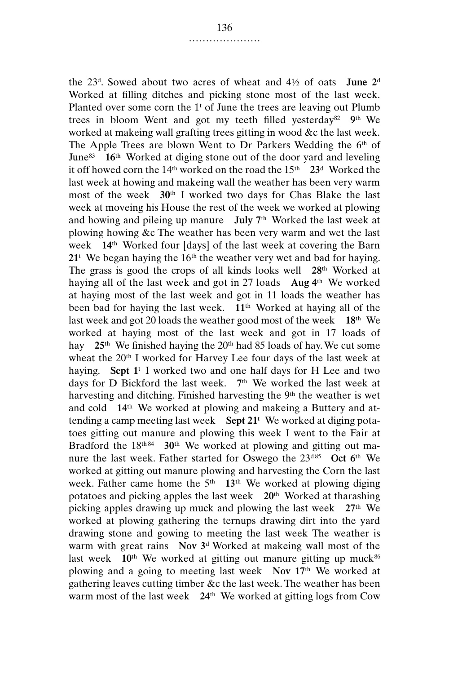the 23d. Sowed about two acres of wheat and 4½ of oats **June 2**<sup>d</sup> Worked at filling ditches and picking stone most of the last week. Planted over some corn the  $1<sup>t</sup>$  of June the trees are leaving out Plumb trees in bloom Went and got my teeth filled yesterday82 **9**th We worked at makeing wall grafting trees gitting in wood &c the last week. The Apple Trees are blown Went to Dr Parkers Wedding the 6<sup>th</sup> of June83 **16**th Worked at diging stone out of the door yard and leveling it off howed corn the 14th worked on the road the 15th **23**<sup>d</sup> Worked the last week at howing and makeing wall the weather has been very warm most of the week **30**th I worked two days for Chas Blake the last week at moveing his House the rest of the week we worked at plowing and howing and pileing up manure **July 7**th Worked the last week at plowing howing &c The weather has been very warm and wet the last week **14**th Worked four [days] of the last week at covering the Barn  $21<sup>t</sup>$  We began haying the 16<sup>th</sup> the weather very wet and bad for haying. The grass is good the crops of all kinds looks well **28**th Worked at haying all of the last week and got in 27 loads **Aug 4**th We worked at haying most of the last week and got in 11 loads the weather has been bad for haying the last week. **11**th Worked at haying all of the last week and got 20 loads the weather good most of the week **18**th We worked at haying most of the last week and got in 17 loads of hay 25<sup>th</sup> We finished haying the 20<sup>th</sup> had 85 loads of hay. We cut some wheat the 20<sup>th</sup> I worked for Harvey Lee four days of the last week at haying. **Sept 1**<sup>t</sup> I worked two and one half days for H Lee and two days for D Bickford the last week. **7**th We worked the last week at harvesting and ditching. Finished harvesting the 9<sup>th</sup> the weather is wet and cold **14**th We worked at plowing and makeing a Buttery and attending a camp meeting last week **Sept 21**<sup>t</sup> We worked at diging potatoes gitting out manure and plowing this week I went to the Fair at Bradford the 18<sup>th 84</sup> 30<sup>th</sup> We worked at plowing and gitting out manure the last week. Father started for Oswego the 23<sup>d85</sup> Oct 6<sup>th</sup> We worked at gitting out manure plowing and harvesting the Corn the last week. Father came home the  $5<sup>th</sup>$  **13<sup>th</sup>** We worked at plowing diging potatoes and picking apples the last week **20**th Worked at tharashing picking apples drawing up muck and plowing the last week **27**th We worked at plowing gathering the ternups drawing dirt into the yard drawing stone and gowing to meeting the last week The weather is warm with great rains **Nov 3**<sup>d</sup> Worked at makeing wall most of the last week  $10<sup>th</sup>$  We worked at gitting out manure gitting up muck<sup>86</sup> plowing and a going to meeting last week **Nov 17**th We worked at gathering leaves cutting timber &c the last week. The weather has been warm most of the last week **24**th We worked at gitting logs from Cow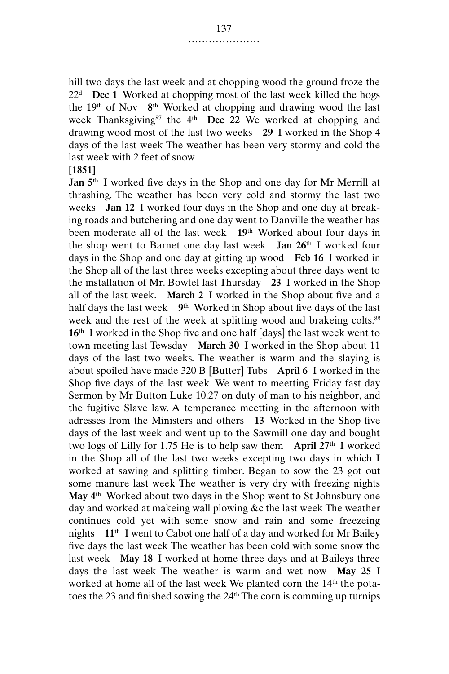hill two days the last week and at chopping wood the ground froze the 22d **Dec 1** Worked at chopping most of the last week killed the hogs the 19th of Nov **8**th Worked at chopping and drawing wood the last week Thanksgiving<sup>87</sup> the 4<sup>th</sup> **Dec 22** We worked at chopping and drawing wood most of the last two weeks **29** I worked in the Shop 4 days of the last week The weather has been very stormy and cold the last week with 2 feet of snow

#### **[1851]**

**Jan 5**th I worked five days in the Shop and one day for Mr Merrill at thrashing. The weather has been very cold and stormy the last two weeks **Jan 12** I worked four days in the Shop and one day at breaking roads and butchering and one day went to Danville the weather has been moderate all of the last week **19**th Worked about four days in the shop went to Barnet one day last week **Jan 26**th I worked four days in the Shop and one day at gitting up wood **Feb 16** I worked in the Shop all of the last three weeks excepting about three days went to the installation of Mr. Bowtel last Thursday **23** I worked in the Shop all of the last week. **March 2** I worked in the Shop about five and a half days the last week **9**th Worked in Shop about five days of the last week and the rest of the week at splitting wood and brakeing colts.<sup>88</sup> **16**th I worked in the Shop five and one half [days] the last week went to town meeting last Tewsday **March 30** I worked in the Shop about 11 days of the last two weeks. The weather is warm and the slaying is about spoiled have made 320 B [Butter] Tubs **April 6** I worked in the Shop five days of the last week. We went to meetting Friday fast day Sermon by Mr Button Luke 10.27 on duty of man to his neighbor, and the fugitive Slave law. A temperance meetting in the afternoon with adresses from the Ministers and others **13** Worked in the Shop five days of the last week and went up to the Sawmill one day and bought two logs of Lilly for 1.75 He is to help saw them **April 27**th I worked in the Shop all of the last two weeks excepting two days in which I worked at sawing and splitting timber. Began to sow the 23 got out some manure last week The weather is very dry with freezing nights **May 4**th Worked about two days in the Shop went to St Johnsbury one day and worked at makeing wall plowing &c the last week The weather continues cold yet with some snow and rain and some freezeing nights **11**th I went to Cabot one half of a day and worked for Mr Bailey five days the last week The weather has been cold with some snow the last week **May 18** I worked at home three days and at Baileys three days the last week The weather is warm and wet now **May 25** I worked at home all of the last week We planted corn the 14<sup>th</sup> the potatoes the 23 and finished sowing the 24th The corn is comming up turnips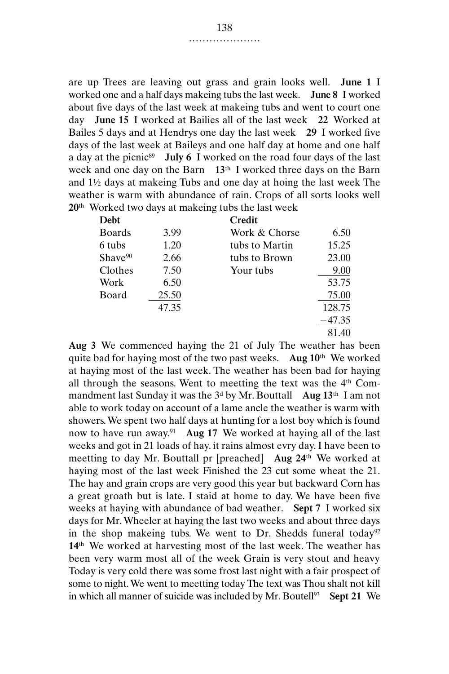are up Trees are leaving out grass and grain looks well. **June 1** I worked one and a half days makeing tubs the last week. **June 8** I worked about five days of the last week at makeing tubs and went to court one day **June 15** I worked at Bailies all of the last week **22** Worked at Bailes 5 days and at Hendrys one day the last week **29** I worked five days of the last week at Baileys and one half day at home and one half a day at the picnic<sup>89</sup> **July 6** I worked on the road four days of the last week and one day on the Barn **13**th I worked three days on the Barn and 1½ days at makeing Tubs and one day at hoing the last week The weather is warm with abundance of rain. Crops of all sorts looks well **20**th Worked two days at makeing tubs the last week

| Debt                |       | Credit         |          |
|---------------------|-------|----------------|----------|
| <b>Boards</b>       | 3.99  | Work & Chorse  | 6.50     |
| 6 tubs              | 1.20  | tubs to Martin | 15.25    |
| Shave <sup>90</sup> | 2.66  | tubs to Brown  | 23.00    |
| Clothes             | 7.50  | Your tubs      | 9.00     |
| Work                | 6.50  |                | 53.75    |
| Board               | 25.50 |                | 75.00    |
|                     | 47.35 |                | 128.75   |
|                     |       |                | $-47.35$ |
|                     |       |                | 81.40    |

**Aug 3** We commenced haying the 21 of July The weather has been quite bad for haying most of the two past weeks. **Aug 10**th We worked at haying most of the last week. The weather has been bad for haying all through the seasons. Went to meetting the text was the  $4<sup>th</sup>$  Commandment last Sunday it was the 3d by Mr. Bouttall **Aug 13**th I am not able to work today on account of a lame ancle the weather is warm with showers. We spent two half days at hunting for a lost boy which is found now to have run away.91 **Aug 17** We worked at haying all of the last weeks and got in 21 loads of hay. it rains almost evry day. I have been to meetting to day Mr. Bouttall pr [preached] **Aug 24**th We worked at haying most of the last week Finished the 23 cut some wheat the 21. The hay and grain crops are very good this year but backward Corn has a great groath but is late. I staid at home to day. We have been five weeks at haying with abundance of bad weather. **Sept 7** I worked six days for Mr. Wheeler at haying the last two weeks and about three days in the shop makeing tubs. We went to Dr. Shedds funeral today<sup>92</sup> **14**th We worked at harvesting most of the last week. The weather has been very warm most all of the week Grain is very stout and heavy Today is very cold there was some frost last night with a fair prospect of some to night. We went to meetting today The text was Thou shalt not kill in which all manner of suicide was included by Mr. Boutell<sup>93</sup> Sept 21 We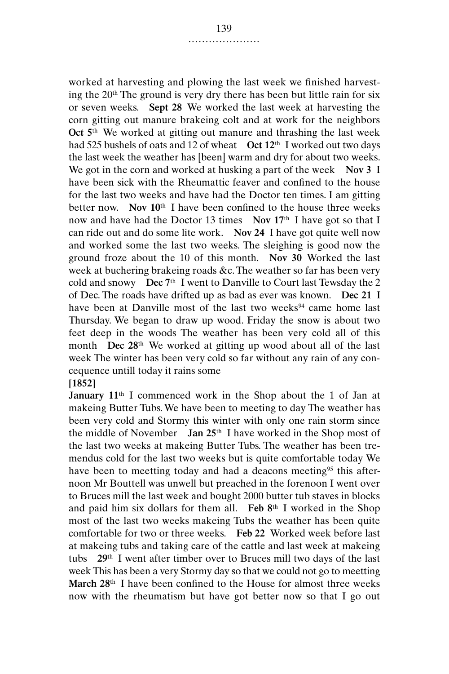worked at harvesting and plowing the last week we finished harvesting the 20th The ground is very dry there has been but little rain for six or seven weeks. **Sept 28** We worked the last week at harvesting the corn gitting out manure brakeing colt and at work for the neighbors **Oct 5**th We worked at gitting out manure and thrashing the last week had 525 bushels of oats and 12 of wheat **Oct 12**th I worked out two days the last week the weather has [been] warm and dry for about two weeks. We got in the corn and worked at husking a part of the week **Nov 3** I have been sick with the Rheumattic feaver and confined to the house for the last two weeks and have had the Doctor ten times. I am gitting better now. **Nov 10**th I have been confined to the house three weeks now and have had the Doctor 13 times **Nov 17**th I have got so that I can ride out and do some lite work. **Nov 24** I have got quite well now and worked some the last two weeks. The sleighing is good now the ground froze about the 10 of this month. **Nov 30** Worked the last week at buchering brakeing roads &c. The weather so far has been very cold and snowy **Dec 7**th I went to Danville to Court last Tewsday the 2 of Dec. The roads have drifted up as bad as ever was known. **Dec 21** I have been at Danville most of the last two weeks<sup>94</sup> came home last Thursday. We began to draw up wood. Friday the snow is about two feet deep in the woods The weather has been very cold all of this month **Dec 28**th We worked at gitting up wood about all of the last week The winter has been very cold so far without any rain of any concequence untill today it rains some

#### **[1852]**

**January 11**th I commenced work in the Shop about the 1 of Jan at makeing Butter Tubs. We have been to meeting to day The weather has been very cold and Stormy this winter with only one rain storm since the middle of November **Jan 25**th I have worked in the Shop most of the last two weeks at makeing Butter Tubs. The weather has been tremendus cold for the last two weeks but is quite comfortable today We have been to meetting today and had a deacons meeting<sup>95</sup> this afternoon Mr Bouttell was unwell but preached in the forenoon I went over to Bruces mill the last week and bought 2000 butter tub staves in blocks and paid him six dollars for them all. **Feb 8**th I worked in the Shop most of the last two weeks makeing Tubs the weather has been quite comfortable for two or three weeks. **Feb 22** Worked week before last at makeing tubs and taking care of the cattle and last week at makeing tubs **29**th I went after timber over to Bruces mill two days of the last week This has been a very Stormy day so that we could not go to meetting **March 28**th I have been confined to the House for almost three weeks now with the rheumatism but have got better now so that I go out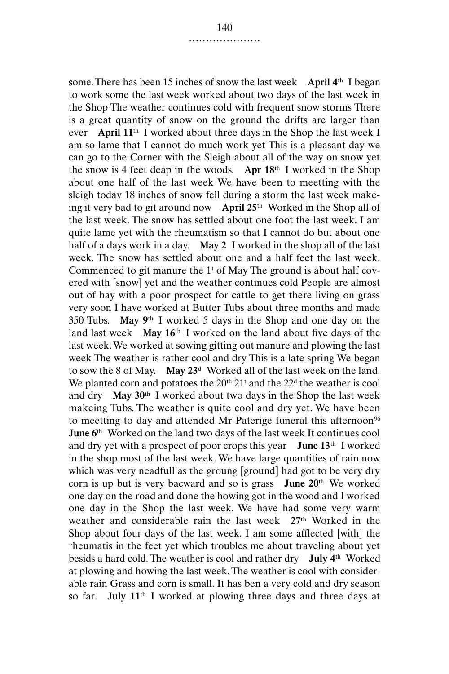some. There has been 15 inches of snow the last week **April 4**th I began to work some the last week worked about two days of the last week in the Shop The weather continues cold with frequent snow storms There is a great quantity of snow on the ground the drifts are larger than ever **April 11**th I worked about three days in the Shop the last week I am so lame that I cannot do much work yet This is a pleasant day we can go to the Corner with the Sleigh about all of the way on snow yet the snow is 4 feet deap in the woods. **Apr 18**th I worked in the Shop about one half of the last week We have been to meetting with the sleigh today 18 inches of snow fell during a storm the last week makeing it very bad to git around now **April 25**th Worked in the Shop all of the last week. The snow has settled about one foot the last week. I am quite lame yet with the rheumatism so that I cannot do but about one half of a days work in a day. **May 2** I worked in the shop all of the last week. The snow has settled about one and a half feet the last week. Commenced to git manure the  $1<sup>t</sup>$  of May The ground is about half covered with [snow] yet and the weather continues cold People are almost out of hay with a poor prospect for cattle to get there living on grass very soon I have worked at Butter Tubs about three months and made 350 Tubs. **May 9**th I worked 5 days in the Shop and one day on the land last week **May 16**th I worked on the land about five days of the last week. We worked at sowing gitting out manure and plowing the last week The weather is rather cool and dry This is a late spring We began to sow the 8 of May. **May 23**<sup>d</sup> Worked all of the last week on the land. We planted corn and potatoes the  $20<sup>th</sup> 21<sup>t</sup>$  and the  $22<sup>d</sup>$  the weather is cool and dry **May 30**th I worked about two days in the Shop the last week makeing Tubs. The weather is quite cool and dry yet. We have been to meetting to day and attended Mr Paterige funeral this afternoon<sup>96</sup> **June 6**th Worked on the land two days of the last week It continues cool and dry yet with a prospect of poor crops this year **June 13**th I worked in the shop most of the last week. We have large quantities of rain now which was very neadfull as the groung [ground] had got to be very dry corn is up but is very bacward and so is grass **June 20**th We worked one day on the road and done the howing got in the wood and I worked one day in the Shop the last week. We have had some very warm weather and considerable rain the last week **27**th Worked in the Shop about four days of the last week. I am some afflected [with] the rheumatis in the feet yet which troubles me about traveling about yet besids a hard cold. The weather is cool and rather dry **July 4**th Worked at plowing and howing the last week. The weather is cool with considerable rain Grass and corn is small. It has ben a very cold and dry season so far. **July 11**th I worked at plowing three days and three days at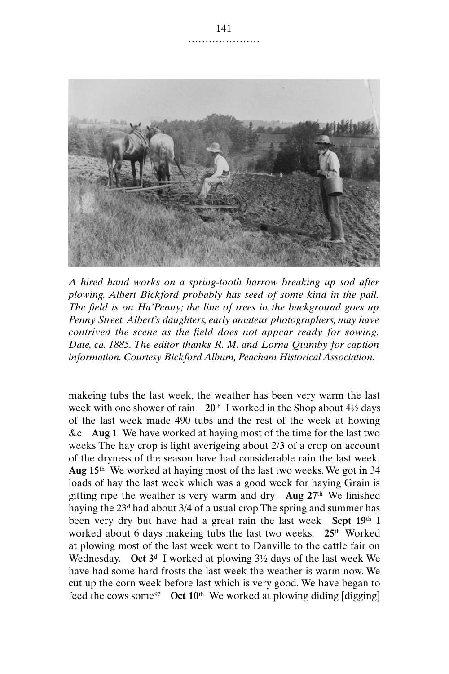

*A hired hand works on a spring-tooth harrow breaking up sod after plowing. Albert Bickford probably has seed of some kind in the pail. The field is on Ha'Penny; the line of trees in the background goes up Penny Street. Albert's daughters, early amateur photographers, may have contrived the scene as the field does not appear ready for sowing. Date, ca. 1885. The editor thanks R. M. and Lorna Quimby for caption information. Courtesy Bickford Album, Peacham Historical Association.*

makeing tubs the last week, the weather has been very warm the last week with one shower of rain **20**th I worked in the Shop about 4½ days of the last week made 490 tubs and the rest of the week at howing &c **Aug 1** We have worked at haying most of the time for the last two weeks The hay crop is light averigeing about 2/3 of a crop on account of the dryness of the season have had considerable rain the last week. **Aug 15**th We worked at haying most of the last two weeks. We got in 34 loads of hay the last week which was a good week for haying Grain is gitting ripe the weather is very warm and dry **Aug 27**th We finished haying the 23d had about 3/4 of a usual crop The spring and summer has been very dry but have had a great rain the last week **Sept 19**th I worked about 6 days makeing tubs the last two weeks. **25**th Worked at plowing most of the last week went to Danville to the cattle fair on Wednesday. **Oct 3**<sup>d</sup> I worked at plowing 3½ days of the last week We have had some hard frosts the last week the weather is warm now. We cut up the corn week before last which is very good. We have began to feed the cows some97 **Oct 10**th We worked at plowing diding [digging]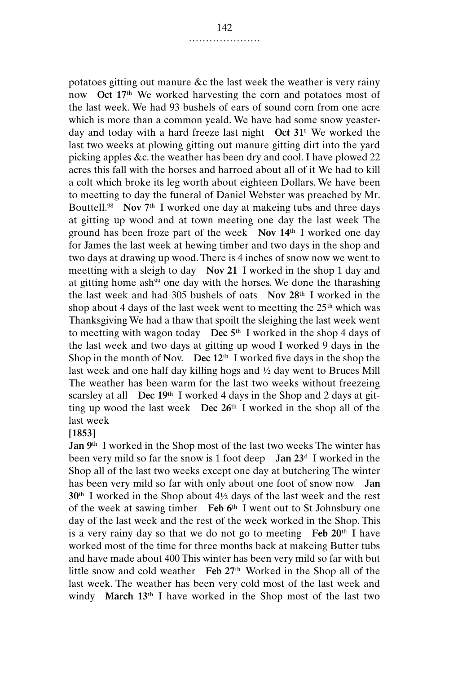potatoes gitting out manure &c the last week the weather is very rainy now **Oct 17**th We worked harvesting the corn and potatoes most of the last week. We had 93 bushels of ears of sound corn from one acre which is more than a common yeald. We have had some snow yeasterday and today with a hard freeze last night **Oct 31**<sup>t</sup> We worked the last two weeks at plowing gitting out manure gitting dirt into the yard picking apples &c. the weather has been dry and cool. I have plowed 22 acres this fall with the horses and harroed about all of it We had to kill a colt which broke its leg worth about eighteen Dollars. We have been to meetting to day the funeral of Daniel Webster was preached by Mr. Bouttell.98 **Nov 7**th I worked one day at makeing tubs and three days at gitting up wood and at town meeting one day the last week The ground has been froze part of the week **Nov 14**th I worked one day for James the last week at hewing timber and two days in the shop and two days at drawing up wood. There is 4 inches of snow now we went to meetting with a sleigh to day **Nov 21** I worked in the shop 1 day and at gitting home ash<sup>99</sup> one day with the horses. We done the tharashing the last week and had 305 bushels of oats **Nov 28**th I worked in the shop about 4 days of the last week went to meetting the 25<sup>th</sup> which was Thanksgiving We had a thaw that spoilt the sleighing the last week went to meetting with wagon today **Dec 5**th I worked in the shop 4 days of the last week and two days at gitting up wood I worked 9 days in the Shop in the month of Nov. **Dec 12**th I worked five days in the shop the last week and one half day killing hogs and ½ day went to Bruces Mill The weather has been warm for the last two weeks without freezeing scarsley at all **Dec 19**th I worked 4 days in the Shop and 2 days at gitting up wood the last week **Dec 26**th I worked in the shop all of the last week

## **[1853]**

**Jan 9**th I worked in the Shop most of the last two weeks The winter has been very mild so far the snow is 1 foot deep **Jan 23**<sup>d</sup> I worked in the Shop all of the last two weeks except one day at butchering The winter has been very mild so far with only about one foot of snow now **Jan 30**th I worked in the Shop about 4½ days of the last week and the rest of the week at sawing timber **Feb 6**th I went out to St Johnsbury one day of the last week and the rest of the week worked in the Shop. This is a very rainy day so that we do not go to meeting **Feb 20**th I have worked most of the time for three months back at makeing Butter tubs and have made about 400 This winter has been very mild so far with but little snow and cold weather **Feb 27**th Worked in the Shop all of the last week. The weather has been very cold most of the last week and windy **March 13**th I have worked in the Shop most of the last two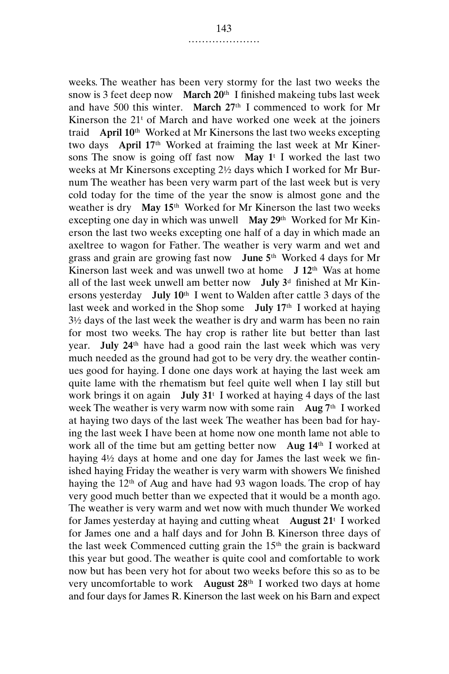weeks. The weather has been very stormy for the last two weeks the snow is 3 feet deep now **March 20**th I finished makeing tubs last week and have 500 this winter. **March 27**th I commenced to work for Mr Kinerson the 21<sup>t</sup> of March and have worked one week at the joiners traid **April 10**th Worked at Mr Kinersons the last two weeks excepting two days **April 17**th Worked at fraiming the last week at Mr Kinersons The snow is going off fast now **May 1**<sup>t</sup> I worked the last two weeks at Mr Kinersons excepting 2½ days which I worked for Mr Burnum The weather has been very warm part of the last week but is very cold today for the time of the year the snow is almost gone and the weather is dry **May 15**th Worked for Mr Kinerson the last two weeks excepting one day in which was unwell **May 29**th Worked for Mr Kinerson the last two weeks excepting one half of a day in which made an axeltree to wagon for Father. The weather is very warm and wet and grass and grain are growing fast now **June 5**th Worked 4 days for Mr Kinerson last week and was unwell two at home **J 12**th Was at home all of the last week unwell am better now **July 3**<sup>d</sup> finished at Mr Kinersons yesterday **July 10**th I went to Walden after cattle 3 days of the last week and worked in the Shop some **July 17**th I worked at haying 3½ days of the last week the weather is dry and warm has been no rain for most two weeks. The hay crop is rather lite but better than last year. **July 24**th have had a good rain the last week which was very much needed as the ground had got to be very dry. the weather continues good for haying. I done one days work at haying the last week am quite lame with the rhematism but feel quite well when I lay still but work brings it on again **July 31**<sup>t</sup> I worked at haying 4 days of the last week The weather is very warm now with some rain **Aug 7**th I worked at haying two days of the last week The weather has been bad for haying the last week I have been at home now one month lame not able to work all of the time but am getting better now **Aug 14**th I worked at haying 4½ days at home and one day for James the last week we finished haying Friday the weather is very warm with showers We finished haying the 12th of Aug and have had 93 wagon loads. The crop of hay very good much better than we expected that it would be a month ago. The weather is very warm and wet now with much thunder We worked for James yesterday at haying and cutting wheat **August 21**<sup>t</sup> I worked for James one and a half days and for John B. Kinerson three days of the last week Commenced cutting grain the 15th the grain is backward this year but good. The weather is quite cool and comfortable to work now but has been very hot for about two weeks before this so as to be very uncomfortable to work **August 28**th I worked two days at home and four days for James R. Kinerson the last week on his Barn and expect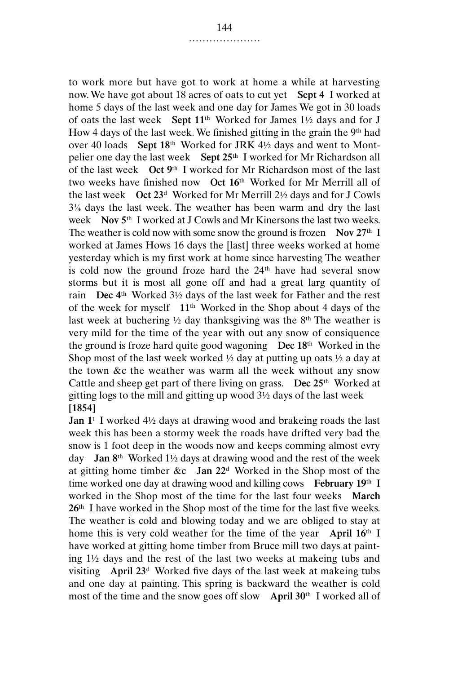to work more but have got to work at home a while at harvesting now. We have got about 18 acres of oats to cut yet **Sept 4** I worked at home 5 days of the last week and one day for James We got in 30 loads of oats the last week **Sept 11**th Worked for James 1½ days and for J How 4 days of the last week. We finished gitting in the grain the 9th had over 40 loads **Sept 18**th Worked for JRK 4½ days and went to Montpelier one day the last week **Sept 25**th I worked for Mr Richardson all of the last week **Oct 9**th I worked for Mr Richardson most of the last two weeks have finished now **Oct 16**th Worked for Mr Merrill all of the last week **Oct 23**<sup>d</sup> Worked for Mr Merrill 2½ days and for J Cowls 3¼ days the last week. The weather has been warm and dry the last week **Nov 5**th I worked at J Cowls and Mr Kinersons the last two weeks. The weather is cold now with some snow the ground is frozen **Nov 27**th I worked at James Hows 16 days the [last] three weeks worked at home yesterday which is my first work at home since harvesting The weather is cold now the ground froze hard the 24<sup>th</sup> have had several snow storms but it is most all gone off and had a great larg quantity of rain **Dec 4**th Worked 3½ days of the last week for Father and the rest of the week for myself **11**th Worked in the Shop about 4 days of the last week at buchering  $\frac{1}{2}$  day thanksgiving was the 8<sup>th</sup> The weather is very mild for the time of the year with out any snow of consiquence the ground is froze hard quite good wagoning **Dec 18**th Worked in the Shop most of the last week worked  $\frac{1}{2}$  day at putting up oats  $\frac{1}{2}$  a day at the town &c the weather was warm all the week without any snow Cattle and sheep get part of there living on grass. **Dec 25**th Worked at gitting logs to the mill and gitting up wood 3½ days of the last week **[1854]**

**Jan 1**<sup>t</sup> I worked 4½ days at drawing wood and brakeing roads the last week this has been a stormy week the roads have drifted very bad the snow is 1 foot deep in the woods now and keeps comming almost evry day **Jan 8**th Worked 1½ days at drawing wood and the rest of the week at gitting home timber &c **Jan 22**<sup>d</sup> Worked in the Shop most of the time worked one day at drawing wood and killing cows **February 19**th I worked in the Shop most of the time for the last four weeks **March 26**th I have worked in the Shop most of the time for the last five weeks. The weather is cold and blowing today and we are obliged to stay at home this is very cold weather for the time of the year **April 16**th I have worked at gitting home timber from Bruce mill two days at painting 1½ days and the rest of the last two weeks at makeing tubs and visiting **April 23**<sup>d</sup> Worked five days of the last week at makeing tubs and one day at painting. This spring is backward the weather is cold most of the time and the snow goes off slow **April 30**th I worked all of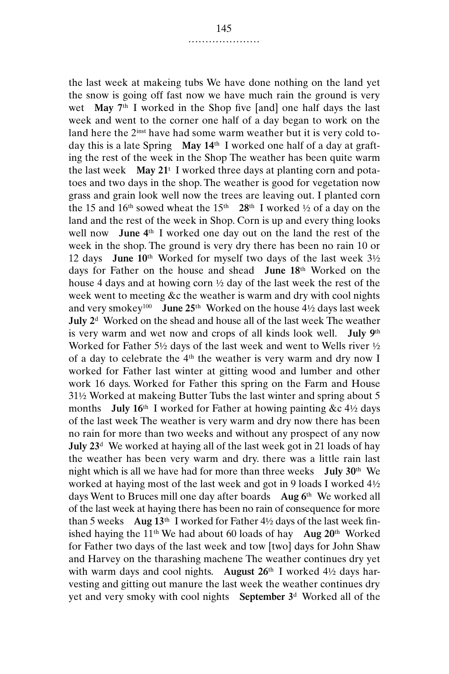the last week at makeing tubs We have done nothing on the land yet the snow is going off fast now we have much rain the ground is very wet **May 7**th I worked in the Shop five [and] one half days the last week and went to the corner one half of a day began to work on the land here the 2<sup>inst</sup> have had some warm weather but it is very cold today this is a late Spring **May 14**th I worked one half of a day at grafting the rest of the week in the Shop The weather has been quite warm the last week **May 21**<sup>t</sup> I worked three days at planting corn and potatoes and two days in the shop. The weather is good for vegetation now grass and grain look well now the trees are leaving out. I planted corn the 15 and 16<sup>th</sup> sowed wheat the 15<sup>th</sup> 28<sup>th</sup> I worked  $\frac{1}{2}$  of a day on the land and the rest of the week in Shop. Corn is up and every thing looks well now **June 4**th I worked one day out on the land the rest of the week in the shop. The ground is very dry there has been no rain 10 or 12 days **June 10**th Worked for myself two days of the last week 3½ days for Father on the house and shead **June 18**th Worked on the house 4 days and at howing corn ½ day of the last week the rest of the week went to meeting &c the weather is warm and dry with cool nights and very smokey100 **June 25**th Worked on the house 4½ days last week **July 2**<sup>d</sup> Worked on the shead and house all of the last week The weather is very warm and wet now and crops of all kinds look well. **July 9**th Worked for Father 5½ days of the last week and went to Wells river ½ of a day to celebrate the  $4<sup>th</sup>$  the weather is very warm and dry now I worked for Father last winter at gitting wood and lumber and other work 16 days. Worked for Father this spring on the Farm and House 31½ Worked at makeing Butter Tubs the last winter and spring about 5 months **July 16**th I worked for Father at howing painting &c 4½ days of the last week The weather is very warm and dry now there has been no rain for more than two weeks and without any prospect of any now **July 23**<sup>d</sup> We worked at haying all of the last week got in 21 loads of hay the weather has been very warm and dry. there was a little rain last night which is all we have had for more than three weeks **July 30**th We worked at haying most of the last week and got in 9 loads I worked 4½ days Went to Bruces mill one day after boards **Aug 6**th We worked all of the last week at haying there has been no rain of consequence for more than 5 weeks **Aug 13**th I worked for Father 4½ days of the last week finished haying the 11th We had about 60 loads of hay **Aug 20**th Worked for Father two days of the last week and tow [two] days for John Shaw and Harvey on the tharashing machene The weather continues dry yet with warm days and cool nights. **August 26**th I worked 4½ days harvesting and gitting out manure the last week the weather continues dry yet and very smoky with cool nights **September 3**<sup>d</sup> Worked all of the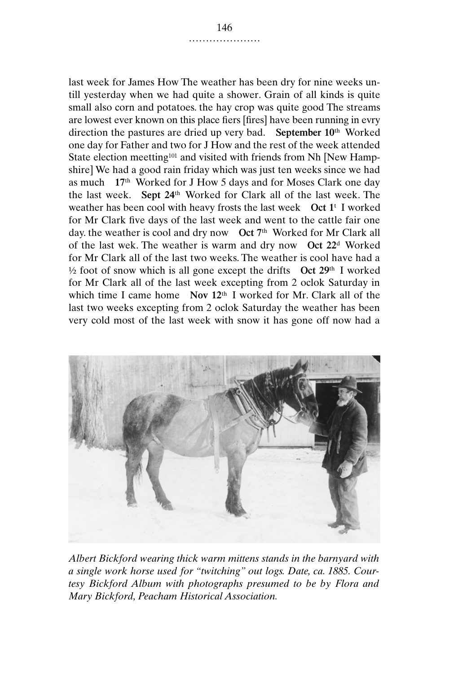last week for James How The weather has been dry for nine weeks untill yesterday when we had quite a shower. Grain of all kinds is quite small also corn and potatoes. the hay crop was quite good The streams are lowest ever known on this place fiers [fires] have been running in evry direction the pastures are dried up very bad. **September 10**th Worked one day for Father and two for J How and the rest of the week attended State election meetting<sup>101</sup> and visited with friends from Nh [New Hampshire] We had a good rain friday which was just ten weeks since we had as much **17**th Worked for J How 5 days and for Moses Clark one day the last week. **Sept 24**th Worked for Clark all of the last week. The weather has been cool with heavy frosts the last week **Oct 1**<sup>t</sup> I worked for Mr Clark five days of the last week and went to the cattle fair one day. the weather is cool and dry now **Oct 7**th Worked for Mr Clark all of the last wek. The weather is warm and dry now **Oct 22**<sup>d</sup> Worked for Mr Clark all of the last two weeks. The weather is cool have had a ½ foot of snow which is all gone except the drifts **Oct 29**th I worked for Mr Clark all of the last week excepting from 2 oclok Saturday in which time I came home **Nov 12**th I worked for Mr. Clark all of the last two weeks excepting from 2 oclok Saturday the weather has been very cold most of the last week with snow it has gone off now had a



*Albert Bickford wearing thick warm mittens stands in the barnyard with a single work horse used for "twitching" out logs. Date, ca. 1885. Courtesy Bickford Album with photographs presumed to be by Flora and Mary Bickford, Peacham Historical Association.*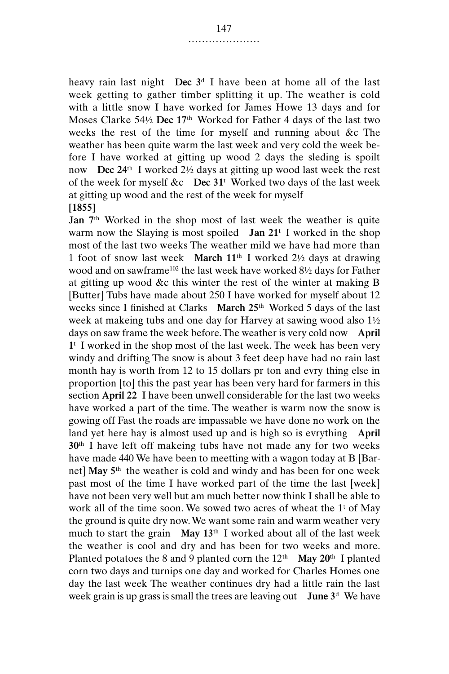heavy rain last night **Dec 3**<sup>d</sup> I have been at home all of the last week getting to gather timber splitting it up. The weather is cold with a little snow I have worked for James Howe 13 days and for Moses Clarke 54½ **Dec 17**th Worked for Father 4 days of the last two weeks the rest of the time for myself and running about &c The weather has been quite warm the last week and very cold the week before I have worked at gitting up wood 2 days the sleding is spoilt now **Dec 24**th I worked 2½ days at gitting up wood last week the rest of the week for myself &c **Dec 31**<sup>t</sup> Worked two days of the last week at gitting up wood and the rest of the week for myself **[1855]**

**Jan 7**th Worked in the shop most of last week the weather is quite warm now the Slaying is most spoiled **Jan 21**<sup>t</sup> I worked in the shop most of the last two weeks The weather mild we have had more than 1 foot of snow last week **March 11**th I worked 2½ days at drawing wood and on sawframe<sup>102</sup> the last week have worked 8½ days for Father at gitting up wood &c this winter the rest of the winter at making B [Butter] Tubs have made about 250 I have worked for myself about 12 weeks since I finished at Clarks **March 25**th Worked 5 days of the last week at makeing tubs and one day for Harvey at sawing wood also 1½ days on saw frame the week before. The weather is very cold now **April 1**<sup>t</sup> I worked in the shop most of the last week. The week has been very windy and drifting The snow is about 3 feet deep have had no rain last month hay is worth from 12 to 15 dollars pr ton and evry thing else in proportion [to] this the past year has been very hard for farmers in this section **April 22** I have been unwell considerable for the last two weeks have worked a part of the time. The weather is warm now the snow is gowing off Fast the roads are impassable we have done no work on the land yet here hay is almost used up and is high so is evrything **April 30**th I have left off makeing tubs have not made any for two weeks have made 440 We have been to meetting with a wagon today at B [Barnet] **May 5**th the weather is cold and windy and has been for one week past most of the time I have worked part of the time the last [week] have not been very well but am much better now think I shall be able to work all of the time soon. We sowed two acres of wheat the  $1<sup>t</sup>$  of May the ground is quite dry now. We want some rain and warm weather very much to start the grain **May 13**th I worked about all of the last week the weather is cool and dry and has been for two weeks and more. Planted potatoes the 8 and 9 planted corn the 12th **May 20**th I planted corn two days and turnips one day and worked for Charles Homes one day the last week The weather continues dry had a little rain the last week grain is up grass is small the trees are leaving out **June 3**<sup>d</sup> We have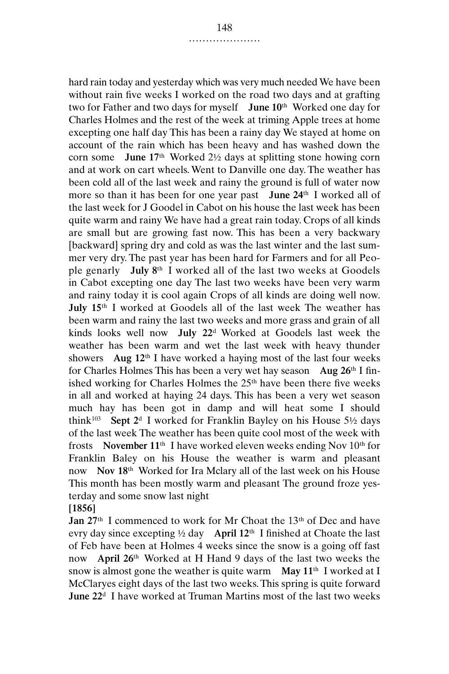hard rain today and yesterday which was very much needed We have been without rain five weeks I worked on the road two days and at grafting two for Father and two days for myself **June 10**th Worked one day for Charles Holmes and the rest of the week at triming Apple trees at home excepting one half day This has been a rainy day We stayed at home on account of the rain which has been heavy and has washed down the corn some **June 17**th Worked 2½ days at splitting stone howing corn and at work on cart wheels. Went to Danville one day. The weather has been cold all of the last week and rainy the ground is full of water now more so than it has been for one year past **June 24**th I worked all of the last week for J Goodel in Cabot on his house the last week has been quite warm and rainy We have had a great rain today. Crops of all kinds are small but are growing fast now. This has been a very backwary [backward] spring dry and cold as was the last winter and the last summer very dry. The past year has been hard for Farmers and for all People genarly **July 8**th I worked all of the last two weeks at Goodels in Cabot excepting one day The last two weeks have been very warm and rainy today it is cool again Crops of all kinds are doing well now. **July 15**th I worked at Goodels all of the last week The weather has been warm and rainy the last two weeks and more grass and grain of all kinds looks well now **July 22**<sup>d</sup> Worked at Goodels last week the weather has been warm and wet the last week with heavy thunder showers **Aug 12**th I have worked a haying most of the last four weeks for Charles Holmes This has been a very wet hay season **Aug 26**th I finished working for Charles Holmes the 25th have been there five weeks in all and worked at haying 24 days. This has been a very wet season much hay has been got in damp and will heat some I should think<sup>103</sup> **Sept 2<sup>d</sup>** I worked for Franklin Bayley on his House  $5\frac{1}{2}$  days of the last week The weather has been quite cool most of the week with frosts **November 11**th I have worked eleven weeks ending Nov 10th for Franklin Baley on his House the weather is warm and pleasant now **Nov 18**th Worked for Ira Mclary all of the last week on his House This month has been mostly warm and pleasant The ground froze yesterday and some snow last night

**[1856]**

Jan 27<sup>th</sup> I commenced to work for Mr Choat the 13<sup>th</sup> of Dec and have evry day since excepting ½ day **April 12**th I finished at Choate the last of Feb have been at Holmes 4 weeks since the snow is a going off fast now **April 26**th Worked at H Hand 9 days of the last two weeks the snow is almost gone the weather is quite warm **May 11**th I worked at I McClaryes eight days of the last two weeks. This spring is quite forward **June 22**<sup>d</sup> I have worked at Truman Martins most of the last two weeks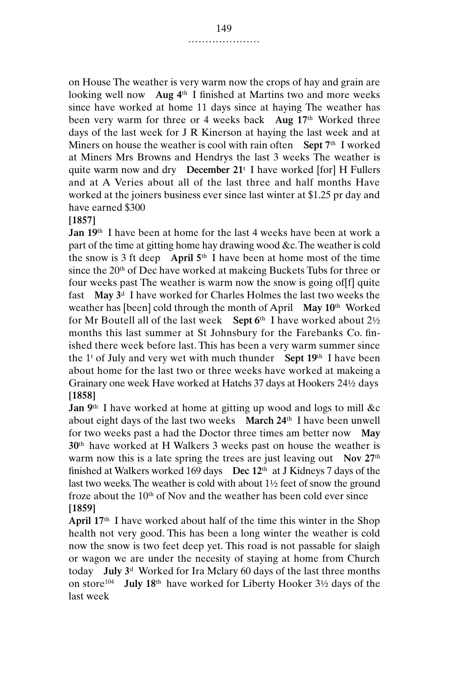on House The weather is very warm now the crops of hay and grain are looking well now **Aug 4**th I finished at Martins two and more weeks since have worked at home 11 days since at haying The weather has been very warm for three or 4 weeks back **Aug 17**th Worked three days of the last week for J R Kinerson at haying the last week and at Miners on house the weather is cool with rain often **Sept 7**th I worked at Miners Mrs Browns and Hendrys the last 3 weeks The weather is quite warm now and dry **December 21**<sup>t</sup> I have worked [for] H Fullers and at A Veries about all of the last three and half months Have worked at the joiners business ever since last winter at \$1.25 pr day and have earned \$300

**[1857]**

**Jan 19**th I have been at home for the last 4 weeks have been at work a part of the time at gitting home hay drawing wood &c. The weather is cold the snow is 3 ft deep **April 5**th I have been at home most of the time since the 20<sup>th</sup> of Dec have worked at makeing Buckets Tubs for three or four weeks past The weather is warm now the snow is going of[f] quite fast **May 3**<sup>d</sup> I have worked for Charles Holmes the last two weeks the weather has [been] cold through the month of April **May 10**th Worked for Mr Boutell all of the last week **Sept 6**th I have worked about 2½ months this last summer at St Johnsbury for the Farebanks Co. finished there week before last. This has been a very warm summer since the 1t of July and very wet with much thunder **Sept 19**th I have been about home for the last two or three weeks have worked at makeing a Grainary one week Have worked at Hatchs 37 days at Hookers 24½ days **[1858]**

Jan 9<sup>th</sup> I have worked at home at gitting up wood and logs to mill &c about eight days of the last two weeks **March 24**th I have been unwell for two weeks past a had the Doctor three times am better now **May 30**th have worked at H Walkers 3 weeks past on house the weather is warm now this is a late spring the trees are just leaving out **Nov 27**th finished at Walkers worked 169 days **Dec 12**th at J Kidneys 7 days of the last two weeks. The weather is cold with about 1½ feet of snow the ground froze about the  $10<sup>th</sup>$  of Nov and the weather has been cold ever since **[1859]**

**April 17**th I have worked about half of the time this winter in the Shop health not very good. This has been a long winter the weather is cold now the snow is two feet deep yet. This road is not passable for slaigh or wagon we are under the necesity of staying at home from Church today **July 3**<sup>d</sup> Worked for Ira Mclary 60 days of the last three months on store104 **July 18**th have worked for Liberty Hooker 3½ days of the last week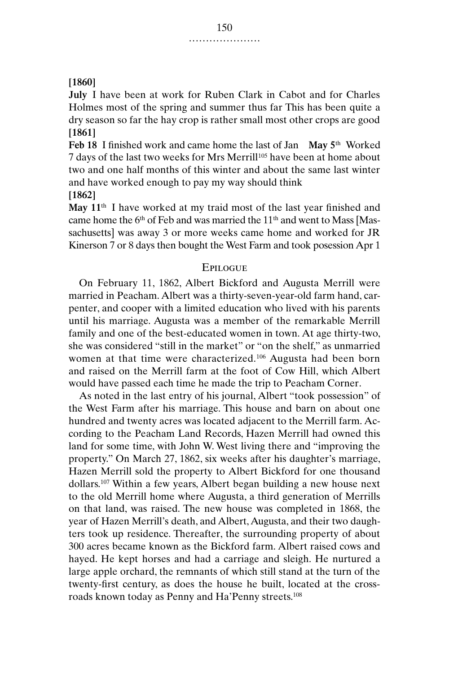## **[1860]**

**July** I have been at work for Ruben Clark in Cabot and for Charles Holmes most of the spring and summer thus far This has been quite a dry season so far the hay crop is rather small most other crops are good **[1861]**

**Feb 18** I finished work and came home the last of Jan **May 5**th Worked 7 days of the last two weeks for Mrs Merrill<sup>105</sup> have been at home about two and one half months of this winter and about the same last winter and have worked enough to pay my way should think

**[1862]**

**May 11**th I have worked at my traid most of the last year finished and came home the 6<sup>th</sup> of Feb and was married the 11<sup>th</sup> and went to Mass [Massachusetts] was away 3 or more weeks came home and worked for JR Kinerson 7 or 8 days then bought the West Farm and took posession Apr 1

#### **EPILOGUE**

On February 11, 1862, Albert Bickford and Augusta Merrill were married in Peacham. Albert was a thirty-seven-year-old farm hand, carpenter, and cooper with a limited education who lived with his parents until his marriage. Augusta was a member of the remarkable Merrill family and one of the best-educated women in town. At age thirty-two, she was considered "still in the market" or "on the shelf," as unmarried women at that time were characterized.<sup>106</sup> Augusta had been born and raised on the Merrill farm at the foot of Cow Hill, which Albert would have passed each time he made the trip to Peacham Corner.

As noted in the last entry of his journal, Albert "took possession" of the West Farm after his marriage. This house and barn on about one hundred and twenty acres was located adjacent to the Merrill farm. According to the Peacham Land Records, Hazen Merrill had owned this land for some time, with John W. West living there and "improving the property." On March 27, 1862, six weeks after his daughter's marriage, Hazen Merrill sold the property to Albert Bickford for one thousand dollars.107 Within a few years, Albert began building a new house next to the old Merrill home where Augusta, a third generation of Merrills on that land, was raised. The new house was completed in 1868, the year of Hazen Merrill's death, and Albert, Augusta, and their two daughters took up residence. Thereafter, the surrounding property of about 300 acres became known as the Bickford farm. Albert raised cows and hayed. He kept horses and had a carriage and sleigh. He nurtured a large apple orchard, the remnants of which still stand at the turn of the twenty-first century, as does the house he built, located at the crossroads known today as Penny and Ha'Penny streets.108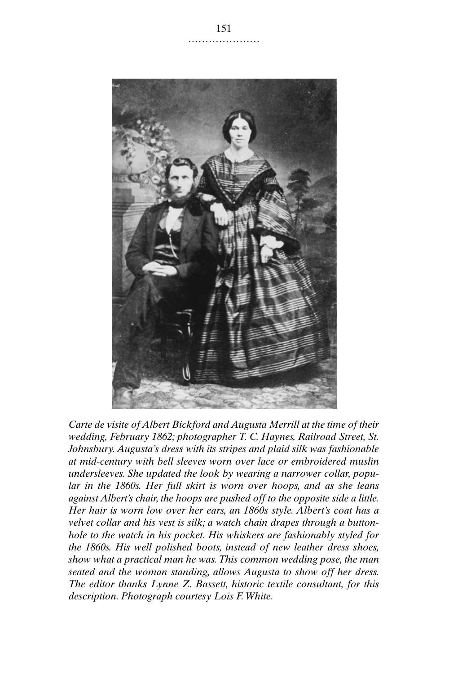

*Carte de visite of Albert Bickford and Augusta Merrill at the time of their wedding, February 1862; photographer T. C. Haynes, Railroad Street, St. Johnsbury. Augusta's dress with its stripes and plaid silk was fashionable at mid-century with bell sleeves worn over lace or embroidered muslin undersleeves. She updated the look by wearing a narrower collar, popular in the 1860s. Her full skirt is worn over hoops, and as she leans against Albert's chair, the hoops are pushed off to the opposite side a little. Her hair is worn low over her ears, an 1860s style. Albert's coat has a velvet collar and his vest is silk; a watch chain drapes through a buttonhole to the watch in his pocket. His whiskers are fashionably styled for the 1860s. His well polished boots, instead of new leather dress shoes, show what a practical man he was. This common wedding pose, the man seated and the woman standing, allows Augusta to show off her dress. The editor thanks Lynne Z. Bassett, historic textile consultant, for this description. Photograph courtesy Lois F. White.*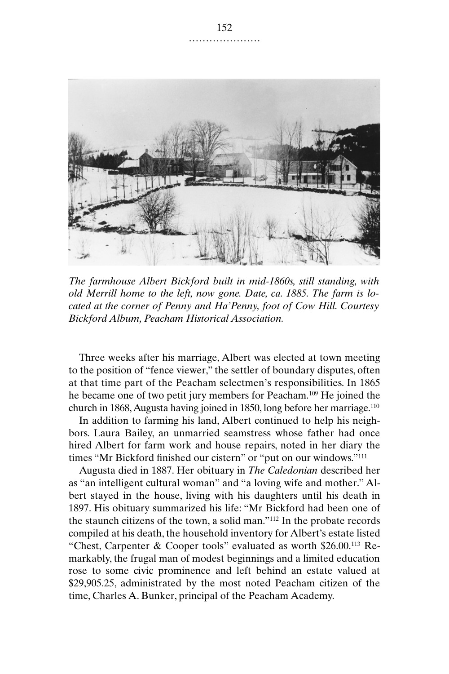

*The farmhouse Albert Bickford built in mid-1860s, still standing, with old Merrill home to the left, now gone. Date, ca. 1885. The farm is located at the corner of Penny and Ha'Penny, foot of Cow Hill. Courtesy Bickford Album, Peacham Historical Association.*

Three weeks after his marriage, Albert was elected at town meeting to the position of "fence viewer," the settler of boundary disputes, often at that time part of the Peacham selectmen's responsibilities. In 1865 he became one of two petit jury members for Peacham.109 He joined the church in 1868, Augusta having joined in 1850, long before her marriage.110

In addition to farming his land, Albert continued to help his neighbors. Laura Bailey, an unmarried seamstress whose father had once hired Albert for farm work and house repairs, noted in her diary the times "Mr Bickford finished our cistern" or "put on our windows."111

Augusta died in 1887. Her obituary in *The Caledonian* described her as "an intelligent cultural woman" and "a loving wife and mother." Albert stayed in the house, living with his daughters until his death in 1897. His obituary summarized his life: "Mr Bickford had been one of the staunch citizens of the town, a solid man."112 In the probate records compiled at his death, the household inventory for Albert's estate listed "Chest, Carpenter & Cooper tools" evaluated as worth \$26.00.113 Remarkably, the frugal man of modest beginnings and a limited education rose to some civic prominence and left behind an estate valued at \$29,905.25, administrated by the most noted Peacham citizen of the time, Charles A. Bunker, principal of the Peacham Academy.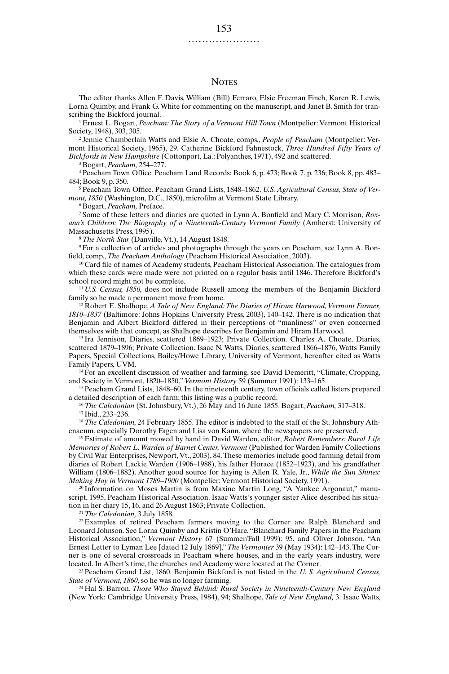#### **NOTES**

The editor thanks Allen F. Davis, William (Bill) Ferraro, Elsie Freeman Finch, Karen R. Lewis, Lorna Quimby, and Frank G. White for commenting on the manuscript, and Janet B. Smith for transcribing the Bickford journal.

<sup>1</sup> Ernest L. Bogart, *Peacham: The Story of a Vermont Hill Town* (Montpelier: Vermont Historical Society, 1948), 303, 305.

<sup>2</sup> Jennie Chamberlain Watts and Elsie A. Choate, comps., *People of Peacham* (Montpelier: Vermont Historical Society, 1965), 29. Catherine Bickford Fahnestock, *Three Hundred Fifty Years of Bickfords in New Hampshire* (Cottonport, La.: Polyanthes, 1971), 492 and scattered.

<sup>3</sup> Bogart, *Peacham,* 254–277.

<sup>4</sup> Peacham Town Office. Peacham Land Records: Book 6, p. 473; Book 7, p. 236; Book 8, pp. 483– 484; Book 9, p. 350.

<sup>5</sup> Peacham Town Office. Peacham Grand Lists, 1848–1862. *U.S. Agricultural Census, State of Vermont, 1850* (Washington, D.C., 1850), microfilm at Vermont State Library.

<sup>6</sup> Bogart, *Peacham,* Preface.

<sup>7</sup> Some of these letters and diaries are quoted in Lynn A. Bonfield and Mary C. Morrison, *Roxana's Children: The Biography of a Nineteenth-Century Vermont Family* (Amherst: University of Massachusetts Press, 1995).

<sup>8</sup> *The North Star* (Danville, Vt.), 14 August 1848.

<sup>9</sup> For a collection of articles and photographs through the years on Peacham, see Lynn A. Bonfield, comp., *The Peacham Anthology* (Peacham Historical Association, 2003).

<sup>10</sup> Card file of names of Academy students, Peacham Historical Association. The catalogues from which these cards were made were not printed on a regular basis until 1846. Therefore Bickford's school record might not be complete.

<sup>11</sup> *U.S. Census, 1850,* does not include Russell among the members of the Benjamin Bickford family so he made a permanent move from home.

<sup>12</sup> Robert E. Shalhope, A Tale of New England: The Diaries of Hiram Harwood, Vermont Farmer, *1810–1837* (Baltimore: Johns Hopkins University Press, 2003), 140–142. There is no indication that Benjamin and Albert Bickford differed in their perceptions of "manliness" or even concerned themselves with that concept, as Shalhope describes for Benjamin and Hiram Harwood.

<sup>13</sup> Ira Jennison, Diaries, scattered 1869–1923; Private Collection. Charles A. Choate, Diaries, scattered 1879–1896; Private Collection. Isaac N. Watts, Diaries, scattered 1866–1876, Watts Family Papers, Special Collections, Bailey/Howe Library, University of Vermont, hereafter cited as Watts Family Papers, UVM.

<sup>14</sup> For an excellent discussion of weather and farming, see David Demeritt, "Climate, Cropping, and Society in Vermont, 1820–1850," *Vermont History* 59 (Summer 1991): 133–165.

<sup>15</sup> Peacham Grand Lists, 1848–60. In the nineteenth century, town officials called listers prepared a detailed description of each farm; this listing was a public record.

<sup>16</sup> *The Caledonian* (St. Johnsbury, Vt.), 26 May and 16 June 1855. Bogart, *Peacham,* 317–318. <sup>17</sup> Ibid., 233–236.

<sup>18</sup> *The Caledonian,* 24 February 1855. The editor is indebted to the staff of the St. Johnsbury Athenaeum, especially Dorothy Fagen and Lisa von Kann, where the newspapers are preserved.

<sup>19</sup> Estimate of amount mowed by hand in David Warden, editor, *Robert Remembers: Rural Life Memories of Robert L. Warden of Barnet Center, Vermont* (Published for Warden Family Collections by Civil War Enterprises, Newport, Vt., 2003), 84. These memories include good farming detail from diaries of Robert Lackie Warden (1906–1988), his father Horace (1852–1923), and his grandfather William (1806–1882). Another good source for haying is Allen R. Yale, Jr., *While the Sun Shines: Making Hay in Vermont 1789–1900* (Montpelier: Vermont Historical Society, 1991).

<sup>20</sup> Information on Moses Martin is from Maxine Martin Long, "A Yankee Argonaut," manuscript, 1995, Peacham Historical Association. Isaac Watts's younger sister Alice described his situation in her diary 15, 16, and 26 August 1863; Private Collection.

<sup>21</sup> *The Caledonian,* 3 July 1858.

 $22$  Examples of retired Peacham farmers moving to the Corner are Ralph Blanchard and Leonard Johnson. See Lorna Quimby and Kristin O'Hare, "Blanchard Family Papers in the Peacham Historical Association," *Vermont History* 67 (Summer/Fall 1999): 95, and Oliver Johnson, "An Ernest Letter to Lyman Lee [dated 12 July 1869]," *The Vermonter* 39 (May 1934): 142–143. The Corner is one of several crossroads in Peacham where houses, and in the early years industry, were located. In Albert's time, the churches and Academy were located at the Corner.

<sup>23</sup> Peacham Grand List, 1860. Benjamin Bickford is not listed in the *U. S. Agricultural Census, State of Vermont, 1860,* so he was no longer farming.

<sup>24</sup> Hal S. Barron, *Those Who Stayed Behind: Rural Society in Nineteenth-Century New England* (New York: Cambridge University Press, 1984), 94; Shalhope, *Tale of New England,* 3. Isaac Watts,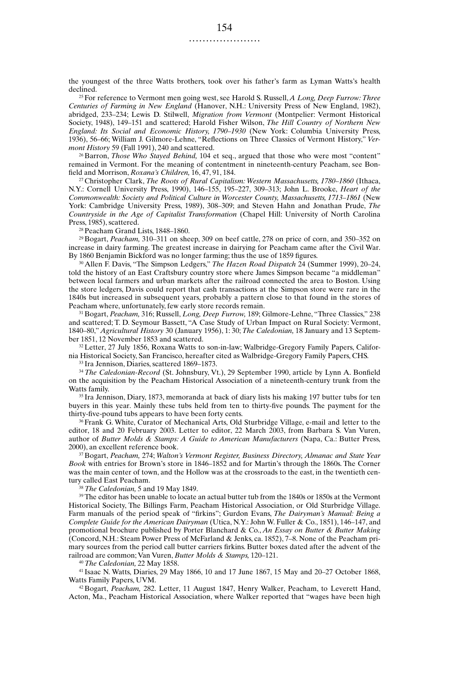the youngest of the three Watts brothers, took over his father's farm as Lyman Watts's health declined.

<sup>25</sup> For reference to Vermont men going west, see Harold S. Russell, *A Long, Deep Furrow: Three Centuries of Farming in New England* (Hanover, N.H.: University Press of New England, 1982), abridged, 233–234; Lewis D. Stilwell, *Migration from Vermont* (Montpelier: Vermont Historical Society, 1948), 149–151 and scattered; Harold Fisher Wilson, *The Hill Country of Northern New England: Its Social and Economic History, 1790–1930* (New York: Columbia University Press, 1936), 56–66; William J. Gilmore-Lehne, "Reflections on Three Classics of Vermont History," *Vermont History* 59 (Fall 1991), 240 and scattered.

<sup>26</sup> Barron, *Those Who Stayed Behind,* 104 et seq., argued that those who were most "content" remained in Vermont. For the meaning of contentment in nineteenth-century Peacham, see Bonfield and Morrison, *Roxana's Children,* 16, 47, 91, 184.

<sup>27</sup> Christopher Clark, *The Roots of Rural Capitalism: Western Massachusetts, 1780–1860* (Ithaca, N.Y.: Cornell University Press, 1990), 146–155, 195–227, 309–313; John L. Brooke, *Heart of the Commonwealth: Society and Political Culture in Worcester County, Massachusetts, 1713–1861* (New York: Cambridge University Press, 1989), 308–309; and Steven Hahn and Jonathan Prude, *The Countryside in the Age of Capitalist Transformation* (Chapel Hill: University of North Carolina Press, 1985), scattered.

<sup>28</sup> Peacham Grand Lists, 1848–1860.

<sup>29</sup> Bogart, *Peacham,* 310–311 on sheep, 309 on beef cattle, 278 on price of corn, and 350–352 on increase in dairy farming. The greatest increase in dairying for Peacham came after the Civil War. By 1860 Benjamin Bickford was no longer farming; thus the use of 1859 figures.

<sup>30</sup> Allen F. Davis, "The Simpson Ledgers," *The Hazen Road Dispatch* 24 (Summer 1999), 20–24, told the history of an East Craftsbury country store where James Simpson became "a middleman" between local farmers and urban markets after the railroad connected the area to Boston. Using the store ledgers, Davis could report that cash transactions at the Simpson store were rare in the 1840s but increased in subsequent years, probably a pattern close to that found in the stores of Peacham where, unfortunately, few early store records remain.

<sup>31</sup> Bogart, *Peacham,* 316; Russell, *Long, Deep Furrow,* 189; Gilmore-Lehne, "Three Classics," 238 and scattered; T. D. Seymour Bassett, "A Case Study of Urban Impact on Rural Society: Vermont, 1840–80," *Agricultural History* 30 (January 1956), 1: 30; *The Caledonian,* 18 January and 13 September 1851, 12 November 1853 and scattered.

<sup>32</sup> Letter, 27 July 1856, Roxana Watts to son-in-law; Walbridge-Gregory Family Papers, California Historical Society, San Francisco, hereafter cited as Walbridge-Gregory Family Papers, CHS.

<sup>33</sup> Ira Jennison, Diaries, scattered 1869–1873.

<sup>34</sup> *The Caledonian-Record* (St. Johnsbury, Vt.), 29 September 1990, article by Lynn A. Bonfield on the acquisition by the Peacham Historical Association of a nineteenth-century trunk from the Watts family.

<sup>35</sup> Ira Jennison, Diary, 1873, memoranda at back of diary lists his making 197 butter tubs for ten buyers in this year. Mainly these tubs held from ten to thirty-five pounds. The payment for the thirty-five-pound tubs appears to have been forty cents.

<sup>36</sup> Frank G. White, Curator of Mechanical Arts, Old Sturbridge Village, e-mail and letter to the editor, 18 and 20 February 2003. Letter to editor, 22 March 2003, from Barbara S. Van Vuren, author of *Butter Molds & Stamps: A Guide to American Manufacturers* (Napa, Ca.: Butter Press, 2000), an excellent reference book.

<sup>37</sup> Bogart, *Peacham,* 274; *Walton's Vermont Register, Business Directory, Almanac and State Year Book* with entries for Brown's store in 1846–1852 and for Martin's through the 1860s. The Corner was the main center of town, and the Hollow was at the crossroads to the east, in the twentieth century called East Peacham.

<sup>38</sup> *The Caledonian,* 5 and 19 May 1849.

<sup>39</sup> The editor has been unable to locate an actual butter tub from the 1840s or 1850s at the Vermont Historical Society, The Billings Farm, Peacham Historical Association, or Old Sturbridge Village. Farm manuals of the period speak of "firkins"; Gurdon Evans, *The Dairyman's Manual: Being a Complete Guide for the American Dairyman* (Utica, N.Y.: John W. Fuller & Co., 1851), 146–147, and promotional brochure published by Porter Blanchard & Co., *An Essay on Butter & Butter Making* (Concord, N.H.: Steam Power Press of McFarland & Jenks, ca. 1852), 7–8. None of the Peacham primary sources from the period call butter carriers firkins. Butter boxes dated after the advent of the railroad are common; Van Vuren, *Butter Molds & Stamps,* 120–121.

<sup>40</sup> *The Caledonian,* 22 May 1858.

<sup>41</sup> Isaac N. Watts, Diaries, 29 May 1866, 10 and 17 June 1867, 15 May and 20–27 October 1868, Watts Family Papers, UVM.

<sup>42</sup> Bogart, *Peacham,* 282. Letter, 11 August 1847, Henry Walker, Peacham, to Leverett Hand, Acton, Ma., Peacham Historical Association, where Walker reported that "wages have been high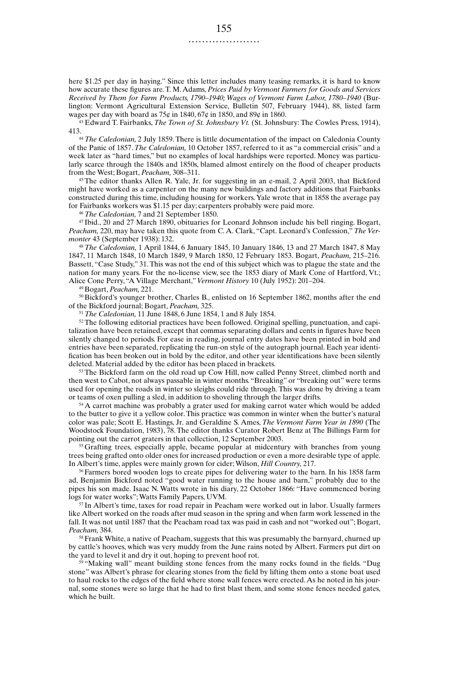here \$1.25 per day in haying." Since this letter includes many teasing remarks, it is hard to know how accurate these figures are. T. M. Adams, *Prices Paid by Vermont Farmers for Goods and Services Received by Them for Farm Products, 1790–1940; Wages of Vermont Farm Labor, 1780–1940* (Burlington: Vermont Agricultural Extension Service, Bulletin 507, February 1944), 88, listed farm wages per day with board as  $75¢$  in 1840,  $67¢$  in 1850, and 89¢ in 1860.

<sup>43</sup> Edward T. Fairbanks, *The Town of St. Johnsbury Vt.* (St. Johnsbury: The Cowles Press, 1914), 413.44 *The Caledonian,* 2 July 1859. There is little documentation of the impact on Caledonia County

of the Panic of 1857. *The Caledonian,* 10 October 1857, referred to it as "a commercial crisis" and a week later as "hard times," but no examples of local hardships were reported. Money was particularly scarce through the 1840s and 1850s, blamed almost entirely on the flood of cheaper products from the West; Bogart, *Peacham,* 308–311.

<sup>45</sup> The editor thanks Allen R. Yale, Jr. for suggesting in an e-mail, 2 April 2003, that Bickford might have worked as a carpenter on the many new buildings and factory additions that Fairbanks constructed during this time, including housing for workers. Yale wrote that in 1858 the average pay for Fairbanks workers was \$1.15 per day; carpenters probably were paid more.

<sup>46</sup> *The Caledonian,* 7 and 21 September 1850.

<sup>47</sup> Ibid., 20 and 27 March 1890, obituaries for Leonard Johnson include his bell ringing. Bogart, *Peacham,* 220, may have taken this quote from C. A. Clark, "Capt. Leonard's Confession," *The Vermonter* 43 (September 1938): 132.

<sup>48</sup> *The Caledonian,* 1 April 1844, 6 January 1845, 10 January 1846, 13 and 27 March 1847, 8 May 1847, 11 March 1848, 10 March 1849, 9 March 1850, 12 February 1853. Bogart, *Peacham,* 215–216. Bassett, "Case Study," 31. This was not the end of this subject which was to plague the state and the nation for many years. For the no-license view, see the 1853 diary of Mark Cone of Hartford, Vt.; Alice Cone Perry, "A Village Merchant," *Vermont History* 10 (July 1952): 201–204.

<sup>49</sup> Bogart, *Peacham,* 221.

<sup>50</sup> Bickford's younger brother, Charles B., enlisted on 16 September 1862, months after the end of the Bickford journal; Bogart, *Peacham,* 325.

<sup>51</sup> *The Caledonian,* 11 June 1848, 6 June 1854, 1 and 8 July 1854.

 $52$  The following editorial practices have been followed. Original spelling, punctuation, and capitalization have been retained, except that commas separating dollars and cents in figures have been silently changed to periods. For ease in reading, journal entry dates have been printed in bold and entries have been separated, replicating the run-on style of the autograph journal. Each year identification has been broken out in bold by the editor, and other year identifications have been silently deleted. Material added by the editor has been placed in brackets.

 $53$  The Bickford farm on the old road up Cow Hill, now called Penny Street, climbed north and then west to Cabot, not always passable in winter months. "Breaking" or "breaking out" were terms used for opening the roads in winter so sleighs could ride through. This was done by driving a team or teams of oxen pulling a sled, in addition to shoveling through the larger drifts.

<sup>54</sup> A carrot machine was probably a grater used for making carrot water which would be added to the butter to give it a yellow color. This practice was common in winter when the butter's natural color was pale; Scott E. Hastings, Jr. and Geraldine S. Ames, *The Vermont Farm Year in 1890* (The Woodstock Foundation, 1983), 78. The editor thanks Curator Robert Benz at The Billings Farm for pointing out the carrot graters in that collection, 12 September 2003.

<sup>55</sup> Grafting trees, especially apple, became popular at midcentury with branches from young trees being grafted onto older ones for increased production or even a more desirable type of apple. In Albert's time, apples were mainly grown for cider; Wilson, *Hill Country,* 217.

<sup>56</sup> Farmers bored wooden logs to create pipes for delivering water to the barn. In his 1858 farm ad, Benjamin Bickford noted "good water running to the house and barn," probably due to the pipes his son made. Isaac N. Watts wrote in his diary, 22 October 1866: "Have commenced boring logs for water works"; Watts Family Papers, UVM.

 $57$  In Albert's time, taxes for road repair in Peacham were worked out in labor. Usually farmers like Albert worked on the roads after mud season in the spring and when farm work lessened in the fall. It was not until 1887 that the Peacham road tax was paid in cash and not "worked out"; Bogart, *Peacham,* 384.

<sup>58</sup> Frank White, a native of Peacham, suggests that this was presumably the barnyard, churned up by cattle's hooves, which was very muddy from the June rains noted by Albert. Farmers put dirt on the yard to level it and dry it out, hoping to prevent hoof rot.

<sup>59</sup> "Making wall" meant building stone fences from the many rocks found in the fields. "Dug stone" was Albert's phrase for clearing stones from the field by lifting them onto a stone boat used to haul rocks to the edges of the field where stone wall fences were erected. As he noted in his journal, some stones were so large that he had to first blast them, and some stone fences needed gates, which he built.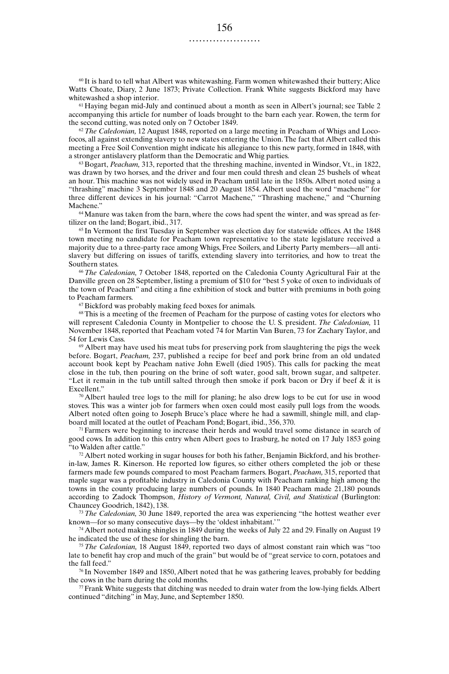$60$  It is hard to tell what Albert was whitewashing. Farm women whitewashed their buttery; Alice Watts Choate, Diary, 2 June 1873; Private Collection. Frank White suggests Bickford may have whitewashed a shop interior.

 $61$  Haying began mid-July and continued about a month as seen in Albert's journal; see Table 2 accompanying this article for number of loads brought to the barn each year. Rowen, the term for the second cutting, was noted only on 7 October 1849.

<sup>62</sup> *The Caledonian,* 12 August 1848, reported on a large meeting in Peacham of Whigs and Locofocos, all against extending slavery to new states entering the Union. The fact that Albert called this meeting a Free Soil Convention might indicate his allegiance to this new party, formed in 1848, with a stronger antislavery platform than the Democratic and Whig parties.

<sup>63</sup> Bogart, *Peacham*, 313, reported that the threshing machine, invented in Windsor, Vt., in 1822, was drawn by two horses, and the driver and four men could thresh and clean 25 bushels of wheat an hour. This machine was not widely used in Peacham until late in the 1850s. Albert noted using a "thrashing" machine 3 September 1848 and 20 August 1854. Albert used the word "machene" for three different devices in his journal: "Carrot Machene," "Thrashing machene," and "Churning Machene."

<sup>64</sup> Manure was taken from the barn, where the cows had spent the winter, and was spread as fertilizer on the land; Bogart, ibid., 317.

<sup>65</sup> In Vermont the first Tuesday in September was election day for statewide offices. At the 1848 town meeting no candidate for Peacham town representative to the state legislature received a majority due to a three-party race among Whigs, Free Soilers, and Liberty Party members—all antislavery but differing on issues of tariffs, extending slavery into territories, and how to treat the Southern states.

<sup>66</sup> *The Caledonian,* 7 October 1848, reported on the Caledonia County Agricultural Fair at the Danville green on 28 September, listing a premium of \$10 for "best 5 yoke of oxen to individuals of the town of Peacham" and citing a fine exhibition of stock and butter with premiums in both going to Peacham farmers.

<sup>67</sup> Bickford was probably making feed boxes for animals.

<sup>68</sup> This is a meeting of the freemen of Peacham for the purpose of casting votes for electors who will represent Caledonia County in Montpelier to choose the U. S. president. *The Caledonian*, 11 November 1848, reported that Peacham voted 74 for Martin Van Buren, 73 for Zachary Taylor, and 54 for Lewis Cass.

 $69$  Albert may have used his meat tubs for preserving pork from slaughtering the pigs the week before. Bogart, *Peacham,* 237, published a recipe for beef and pork brine from an old undated account book kept by Peacham native John Ewell (died 1905). This calls for packing the meat close in the tub, then pouring on the brine of soft water, good salt, brown sugar, and saltpeter. "Let it remain in the tub untill salted through then smoke if pork bacon or  $\tilde{D}ry$  if beef  $\&$  it is Excellent."

 $\sqrt{70}$  Albert hauled tree logs to the mill for planing; he also drew logs to be cut for use in wood stoves. This was a winter job for farmers when oxen could most easily pull logs from the woods. Albert noted often going to Joseph Bruce's place where he had a sawmill, shingle mill, and clapboard mill located at the outlet of Peacham Pond; Bogart, ibid., 356, 370.

<sup>71</sup> Farmers were beginning to increase their herds and would travel some distance in search of good cows. In addition to this entry when Albert goes to Irasburg, he noted on 17 July 1853 going to Walden after cattle.'

 $72$  Albert noted working in sugar houses for both his father, Benjamin Bickford, and his brotherin-law, James R. Kinerson. He reported low figures, so either others completed the job or these farmers made few pounds compared to most Peacham farmers. Bogart, *Peacham,* 315, reported that maple sugar was a profitable industry in Caledonia County with Peacham ranking high among the towns in the county producing large numbers of pounds. In 1840 Peacham made 21,180 pounds according to Zadock Thompson, *History of Vermont, Natural, Civil, and Statistical* (Burlington: Chauncey Goodrich, 1842), 138.

<sup>73</sup> *The Caledonian,* 30 June 1849, reported the area was experiencing "the hottest weather ever known—for so many consecutive days—by the 'oldest inhabitant.'"

<sup>74</sup> Albert noted making shingles in 1849 during the weeks of July 22 and 29. Finally on August 19 he indicated the use of these for shingling the barn.

<sup>75</sup> *The Caledonian,* 18 August 1849, reported two days of almost constant rain which was "too late to benefit hay crop and much of the grain" but would be of "great service to corn, potatoes and the fall feed."

<sup>76</sup> In November 1849 and 1850, Albert noted that he was gathering leaves, probably for bedding the cows in the barn during the cold months.

 $\pi$  Frank White suggests that ditching was needed to drain water from the low-lying fields. Albert continued "ditching" in May, June, and September 1850.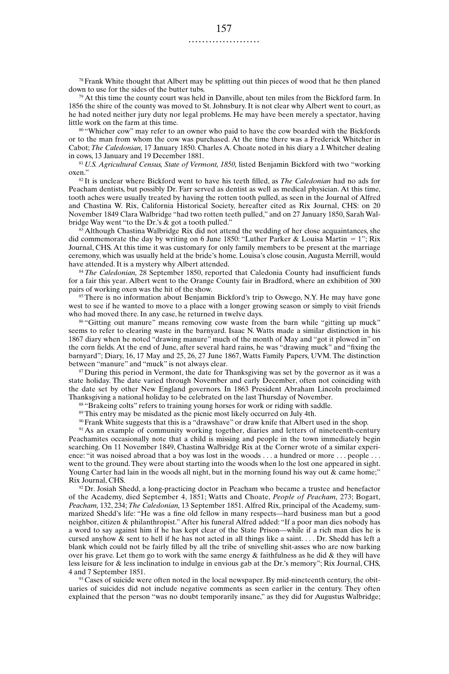$78$  Frank White thought that Albert may be splitting out thin pieces of wood that he then planed down to use for the sides of the butter tubs.

<sup>79</sup> At this time the county court was held in Danville, about ten miles from the Bickford farm. In 1856 the shire of the county was moved to St. Johnsbury. It is not clear why Albert went to court, as he had noted neither jury duty nor legal problems. He may have been merely a spectator, having little work on the farm at this time.

<sup>80</sup> "Whicher cow" may refer to an owner who paid to have the cow boarded with the Bickfords or to the man from whom the cow was purchased. At the time there was a Frederick Whitcher in Cabot; *The Caledonian,* 17 January 1850. Charles A. Choate noted in his diary a J. Whitcher dealing in cows, 13 January and 19 December 1881.

<sup>81</sup> *U.S. Agricultural Census, State of Vermont, 1850*, listed Benjamin Bickford with two "working" oxen."

<sup>82</sup> It is unclear where Bickford went to have his teeth filled, as *The Caledonian* had no ads for Peacham dentists, but possibly Dr. Farr served as dentist as well as medical physician. At this time, tooth aches were usually treated by having the rotten tooth pulled, as seen in the Journal of Alfred and Chastina W. Rix, California Historical Society, hereafter cited as Rix Journal, CHS: on 20 November 1849 Clara Walbridge "had two rotten teeth pulled," and on 27 January 1850, Sarah Walbridge Way went "to the Dr.'s & got a tooth pulled."

Although Chastina Walbridge Rix did not attend the wedding of her close acquaintances, she did commemorate the day by writing on 6 June 1850: "Luther Parker & Louisa Martin = 1"; Rix Journal, CHS. At this time it was customary for only family members to be present at the marriage ceremony, which was usually held at the bride's home. Louisa's close cousin, Augusta Merrill, would have attended. It is a mystery why Albert attended.

<sup>84</sup> *The Caledonian,* 28 September 1850, reported that Caledonia County had insufficient funds for a fair this year. Albert went to the Orange County fair in Bradford, where an exhibition of 300 pairs of working oxen was the hit of the show.

<sup>85</sup> There is no information about Benjamin Bickford's trip to Oswego, N.Y. He may have gone west to see if he wanted to move to a place with a longer growing season or simply to visit friends who had moved there. In any case, he returned in twelve days.

<sup>86</sup> "Gitting out manure" means removing cow waste from the barn while "gitting up muck" seems to refer to clearing waste in the barnyard. Isaac N. Watts made a similar distinction in his 1867 diary when he noted "drawing manure" much of the month of May and "got it plowed in" on the corn fields. At the end of June, after several hard rains, he was "drawing muck" and "fixing the barnyard"; Diary, 16, 17 May and 25, 26, 27 June 1867, Watts Family Papers, UVM. The distinction between "manure" and "muck" is not always clear.

<sup>87</sup> During this period in Vermont, the date for Thanksgiving was set by the governor as it was a state holiday. The date varied through November and early December, often not coinciding with the date set by other New England governors. In 1863 President Abraham Lincoln proclaimed Thanksgiving a national holiday to be celebrated on the last Thursday of November.

<sup>88</sup> "Brakeing colts" refers to training young horses for work or riding with saddle.

<sup>89</sup> This entry may be misdated as the picnic most likely occurred on July 4th.

 $90$  Frank White suggests that this is a "drawshave" or draw knife that Albert used in the shop.

<sup>91</sup> As an example of community working together, diaries and letters of nineteenth-century Peachamites occasionally note that a child is missing and people in the town immediately begin searching. On 11 November 1849, Chastina Walbridge Rix at the Corner wrote of a similar experience: "it was noised abroad that a boy was lost in the woods ... a hundred or more ... people ... went to the ground. They were about starting into the woods when lo the lost one appeared in sight. Young Carter had lain in the woods all night, but in the morning found his way out  $\&$  came home;" Rix Journal, CHS.

 $92$  Dr. Josiah Shedd, a long-practicing doctor in Peacham who became a trustee and benefactor of the Academy, died September 4, 1851; Watts and Choate, *People of Peacham,* 273; Bogart, *Peacham,* 132, 234; *The Caledonian,* 13 September 1851. Alfred Rix, principal of the Academy, summarized Shedd's life: "He was a fine old fellow in many respects—hard business man but a good neighbor, citizen & philanthropist." After his funeral Alfred added: "If a poor man dies nobody has a word to say against him if he has kept clear of the State Prison—while if a rich man dies he is cursed anyhow & sent to hell if he has not acted in all things like a saint. . . . Dr. Shedd has left a blank which could not be fairly filled by all the tribe of snivelling shit-asses who are now barking over his grave. Let them go to work with the same energy  $&$  faithfulness as he did  $&$  they will have less leisure for & less inclination to indulge in envious gab at the Dr.'s memory"; Rix Journal, CHS, 4 and 7 September 1851.

 $93$  Cases of suicide were often noted in the local newspaper. By mid-nineteenth century, the obituaries of suicides did not include negative comments as seen earlier in the century. They often explained that the person "was no doubt temporarily insane," as they did for Augustus Walbridge;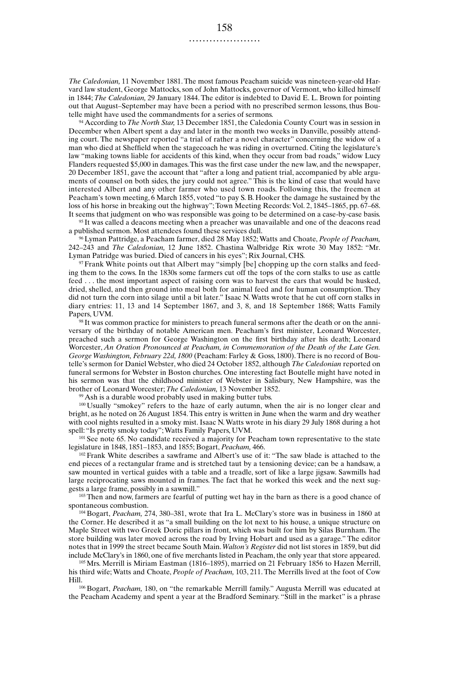*The Caledonian,* 11 November 1881. The most famous Peacham suicide was nineteen-year-old Harvard law student, George Mattocks, son of John Mattocks, governor of Vermont, who killed himself in 1844; *The Caledonian,* 29 January 1844. The editor is indebted to David E. L. Brown for pointing out that August–September may have been a period with no prescribed sermon lessons, thus Boutelle might have used the commandments for a series of sermons.

<sup>94</sup> According to *The North Star,* 13 December 1851, the Caledonia County Court was in session in December when Albert spent a day and later in the month two weeks in Danville, possibly attending court. The newspaper reported "a trial of rather a novel character" concerning the widow of a man who died at Sheffield when the stagecoach he was riding in overturned. Citing the legislature's law "making towns liable for accidents of this kind, when they occur from bad roads," widow Lucy Flanders requested \$5,000 in damages. This was the first case under the new law, and the newspaper, 20 December 1851, gave the account that "after a long and patient trial, accompanied by able arguments of counsel on both sides, the jury could not agree." This is the kind of case that would have interested Albert and any other farmer who used town roads. Following this, the freemen at Peacham's town meeting, 6 March 1855, voted "to pay S. B. Hooker the damage he sustained by the loss of his horse in breaking out the highway"; Town Meeting Records: Vol. 2, 1845–1865, pp. 67–68. It seems that judgment on who was responsible was going to be determined on a case-by-case basis.

<sup>95</sup> It was called a deacons meeting when a preacher was unavailable and one of the deacons read a published sermon. Most attendees found these services dull.

<sup>96</sup> Lyman Pattridge, a Peacham farmer, died 28 May 1852; Watts and Choate, *People of Peacham,* 242–243 and *The Caledonian,* 12 June 1852. Chastina Walbridge Rix wrote 30 May 1852: "Mr. Lyman Patridge was buried. Died of cancers in his eyes"; Rix Journal, CHS.

<sup>97</sup> Frank White points out that Albert may "simply [be] chopping up the corn stalks and feeding them to the cows. In the 1830s some farmers cut off the tops of the corn stalks to use as cattle feed . . . the most important aspect of raising corn was to harvest the ears that would be husked, dried, shelled, and then ground into meal both for animal feed and for human consumption. They did not turn the corn into silage until a bit later." Isaac N. Watts wrote that he cut off corn stalks in diary entries: 11, 13 and 14 September 1867, and 3, 8, and 18 September 1868; Watts Family Papers, UVM.

<sup>98</sup> It was common practice for ministers to preach funeral sermons after the death or on the anniversary of the birthday of notable American men. Peacham's first minister, Leonard Worcester, preached such a sermon for George Washington on the first birthday after his death; Leonard Worcester, *An Oration Pronounced at Peacham, in Commemoration of the Death of the Late Gen. George Washington, February 22d, 1800* (Peacham: Farley & Goss, 1800). There is no record of Boutelle's sermon for Daniel Webster, who died 24 October 1852, although *The Caledonian* reported on funeral sermons for Webster in Boston churches. One interesting fact Boutelle might have noted in his sermon was that the childhood minister of Webster in Salisbury, New Hampshire, was the brother of Leonard Worcester; *The Caledonian,* 13 November 1852.

<sup>99</sup> Ash is a durable wood probably used in making butter tubs.

<sup>100</sup> Usually "smokey" refers to the haze of early autumn, when the air is no longer clear and bright, as he noted on 26 August 1854. This entry is written in June when the warm and dry weather with cool nights resulted in a smoky mist. Isaac N. Watts wrote in his diary 29 July 1868 during a hot spell: "Is pretty smoky today"; Watts Family Papers, UVM.

<sup>101</sup> See note 65. No candidate received a majority for Peacham town representative to the state legislature in 1848, 1851–1853, and 1855; Bogart, *Peacham,* 466.

<sup>102</sup> Frank White describes a sawframe and Albert's use of it: "The saw blade is attached to the end pieces of a rectangular frame and is stretched taut by a tensioning device; can be a handsaw, a saw mounted in vertical guides with a table and a treadle, sort of like a large jigsaw. Sawmills had large reciprocating saws mounted in frames. The fact that he worked this week and the next suggests a large frame, possibly in a sawmill."

<sup>103</sup> Then and now, farmers are fearful of putting wet hay in the barn as there is a good chance of spontaneous combustion.

<sup>104</sup> Bogart, *Peacham,* 274, 380–381, wrote that Ira L. McClary's store was in business in 1860 at the Corner. He described it as "a small building on the lot next to his house, a unique structure on Maple Street with two Greek Doric pillars in front, which was built for him by Silas Burnham. The store building was later moved across the road by Irving Hobart and used as a garage." The editor notes that in 1999 the street became South Main. *Walton's Register* did not list stores in 1859, but did include McClary's in 1860, one of five merchants listed in Peacham, the only year that store appeared.

<sup>105</sup> Mrs. Merrill is Miriam Eastman (1816–1895), married on 21 February 1856 to Hazen Merrill, his third wife; Watts and Choate, *People of Peacham,* 103, 211. The Merrills lived at the foot of Cow

<sup>106</sup> Bogart, *Peacham*, 180, on "the remarkable Merrill family." Augusta Merrill was educated at the Peacham Academy and spent a year at the Bradford Seminary. "Still in the market" is a phrase